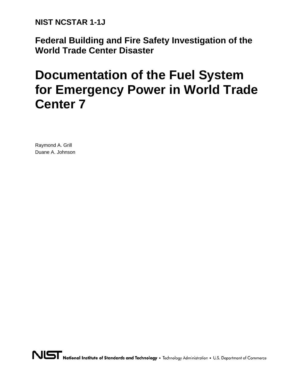**NIST NCSTAR 1-1J**

**Federal Building and Fire Safety Investigation of the World Trade Center Disaster** 

# **Documentation of the Fuel System for Emergency Power in World Trade Center 7**

Raymond A. Grill Duane A. Johnson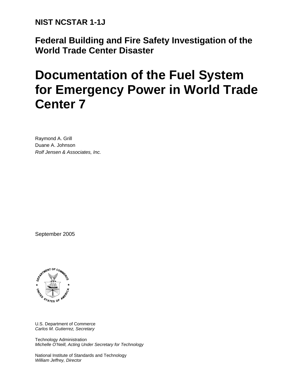**NIST NCSTAR 1-1J** 

**Federal Building and Fire Safety Investigation of the World Trade Center Disaster** 

# **Documentation of the Fuel System for Emergency Power in World Trade Center 7**

Raymond A. Grill Duane A. Johnson *Rolf Jensen & Associates, Inc.* 

September 2005



U.S. Department of Commerce *Carlos M. Gutierrez, Secretary* 

Technology Administration *Michelle O'Neill, Acting Under Secretary for Technology*

National Institute of Standards and Technology *William Jeffrey, Director*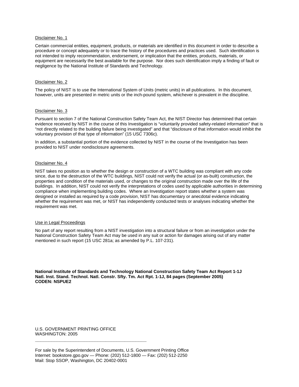#### Disclaimer No. 1

Certain commercial entities, equipment, products, or materials are identified in this document in order to describe a procedure or concept adequately or to trace the history of the procedures and practices used. Such identification is not intended to imply recommendation, endorsement, or implication that the entities, products, materials, or equipment are necessarily the best available for the purpose. Nor does such identification imply a finding of fault or negligence by the National Institute of Standards and Technology.

#### Disclaimer No. 2

The policy of NIST is to use the International System of Units (metric units) in all publications. In this document, however, units are presented in metric units or the inch-pound system, whichever is prevalent in the discipline.

#### Disclaimer No. 3

Pursuant to section 7 of the National Construction Safety Team Act, the NIST Director has determined that certain evidence received by NIST in the course of this Investigation is "voluntarily provided safety-related information" that is "not directly related to the building failure being investigated" and that "disclosure of that information would inhibit the voluntary provision of that type of information" (15 USC 7306c).

In addition, a substantial portion of the evidence collected by NIST in the course of the Investigation has been provided to NIST under nondisclosure agreements.

#### Disclaimer No. 4

NIST takes no position as to whether the design or construction of a WTC building was compliant with any code since, due to the destruction of the WTC buildings, NIST could not verify the actual (or as-built) construction, the properties and condition of the materials used, or changes to the original construction made over the life of the buildings. In addition, NIST could not verify the interpretations of codes used by applicable authorities in determining compliance when implementing building codes. Where an Investigation report states whether a system was designed or installed as required by a code *provision*, NIST has documentary or anecdotal evidence indicating whether the requirement was met, or NIST has independently conducted tests or analyses indicating whether the requirement was met.

#### Use in Legal Proceedings

No part of any report resulting from a NIST investigation into a structural failure or from an investigation under the National Construction Safety Team Act may be used in any suit or action for damages arising out of any matter mentioned in such report (15 USC 281a; as amended by P.L. 107-231).

**National Institute of Standards and Technology National Construction Safety Team Act Report 1-1J Natl. Inst. Stand. Technol. Natl. Constr. Sfty. Tm. Act Rpt. 1-1J, 84 pages (September 2005) CODEN: NSPUE2** 

U.S. GOVERNMENT PRINTING OFFICE WASHINGTON: 2005

**\_\_\_\_\_\_\_\_\_\_\_\_\_\_\_\_\_\_\_\_\_\_\_\_\_\_\_\_\_\_\_\_\_\_\_\_\_\_\_\_\_** 

For sale by the Superintendent of Documents, U.S. Government Printing Office Internet: bookstore.gpo.gov — Phone: (202) 512-1800 — Fax: (202) 512-2250 Mail: Stop SSOP, Washington, DC 20402-0001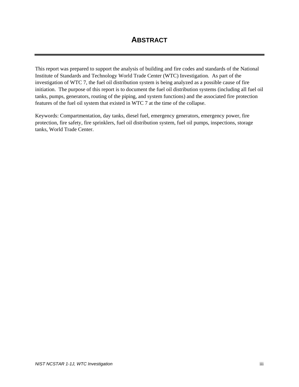This report was prepared to support the analysis of building and fire codes and standards of the National Institute of Standards and Technology World Trade Center (WTC) Investigation. As part of the investigation of WTC 7, the fuel oil distribution system is being analyzed as a possible cause of fire initiation. The purpose of this report is to document the fuel oil distribution systems (including all fuel oil tanks, pumps, generators, routing of the piping, and system functions) and the associated fire protection features of the fuel oil system that existed in WTC 7 at the time of the collapse.

Keywords: Compartmentation, day tanks, diesel fuel, emergency generators, emergency power, fire protection, fire safety, fire sprinklers, fuel oil distribution system, fuel oil pumps, inspections, storage tanks, World Trade Center.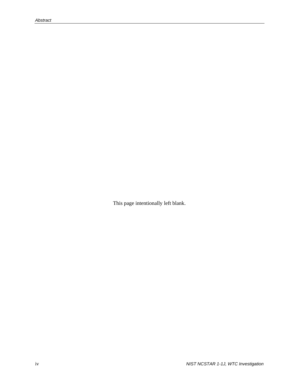This page intentionally left blank.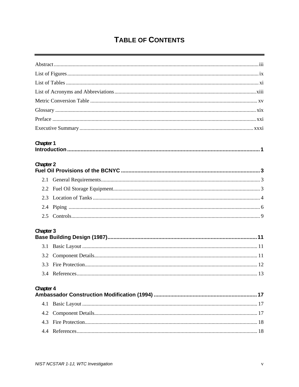# **TABLE OF CONTENTS**

| Chapter 1 |  |
|-----------|--|
| Chapter 2 |  |
|           |  |
|           |  |
|           |  |
| 2.4       |  |
|           |  |
| Chapter 3 |  |
|           |  |
|           |  |
| 3.3       |  |
|           |  |
| Chapter 4 |  |
| 4.1       |  |
| 4.2       |  |
| 4.3       |  |
| 4.4       |  |
|           |  |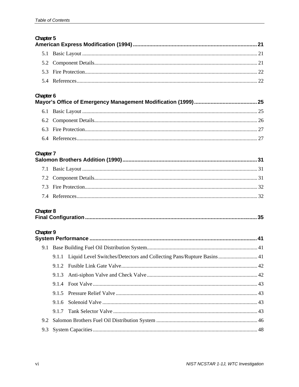# **Chapter 5**<br>**America**

#### Chapter 6

#### Chapter 7

## Chapter 8

|--|--|

#### Chapter 9

| 9.1 |                                                                             |  |
|-----|-----------------------------------------------------------------------------|--|
|     | 9.1.1 Liquid Level Switches/Detectors and Collecting Pans/Rupture Basins 41 |  |
|     |                                                                             |  |
|     |                                                                             |  |
|     |                                                                             |  |
|     |                                                                             |  |
|     |                                                                             |  |
|     |                                                                             |  |
|     |                                                                             |  |
| 9.3 |                                                                             |  |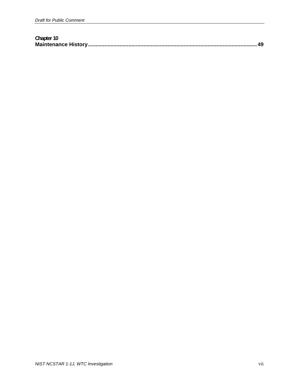| Chapter 10 |  |
|------------|--|
|            |  |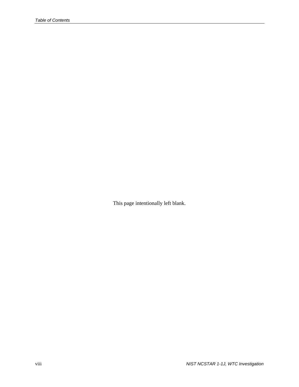This page intentionally left blank.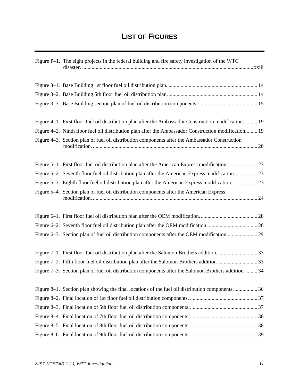## **LIST OF FIGURES**

| Figure P-1. The eight projects in the federal building and fire safety investigation of the WTC        |
|--------------------------------------------------------------------------------------------------------|
|                                                                                                        |
|                                                                                                        |
|                                                                                                        |
|                                                                                                        |
| Figure 4–1. First floor fuel oil distribution plan after the Ambassador Construction modification.  19 |
| Figure 4–2. Ninth floor fuel oil distribution plan after the Ambassador Construction modification 19   |
| Figure 4–3. Section plan of fuel oil distribution components after the Ambassador Construction         |
|                                                                                                        |
| Figure 5–2. Seventh floor fuel oil distribution plan after the American Express modification 23        |
| Figure 5–3. Eighth floor fuel oil distribution plan after the American Express modification23          |
| Figure 5-4. Section plan of fuel oil distribution components after the American Express                |
|                                                                                                        |
|                                                                                                        |
| Figure 6-3. Section plan of fuel oil distribution components after the OEM modification 29             |
|                                                                                                        |
|                                                                                                        |
| Figure 7–3. Section plan of fuel oil distribution components after the Salomon Brothers addition 34    |
| Figure 8–1. Section plan showing the final locations of the fuel oil distribution components36         |
|                                                                                                        |
|                                                                                                        |
|                                                                                                        |
|                                                                                                        |
|                                                                                                        |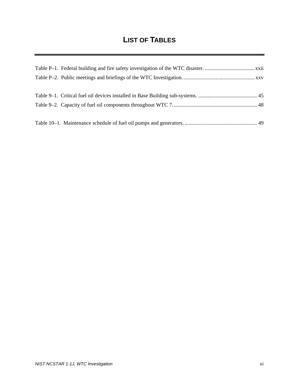# **LIST OF TABLES**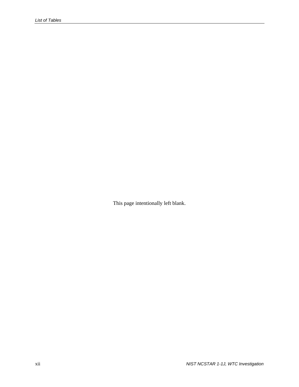This page intentionally left blank.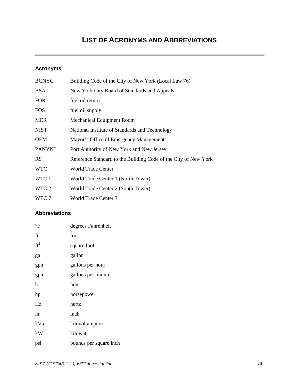## **LIST OF ACRONYMS AND ABBREVIATIONS**

## **Acronyms**

| <b>BCNYC</b>     | Building Code of the City of New York (Local Law 76)            |
|------------------|-----------------------------------------------------------------|
| <b>BSA</b>       | New York City Board of Standards and Appeals                    |
| <b>FOR</b>       | fuel oil return                                                 |
| <b>FOS</b>       | fuel oil supply                                                 |
| <b>MER</b>       | <b>Mechanical Equipment Room</b>                                |
| <b>NIST</b>      | National Institute of Standards and Technology                  |
| <b>OEM</b>       | Mayor's Office of Emergency Management                          |
| <b>PANYNJ</b>    | Port Authority of New York and New Jersey                       |
| <b>RS</b>        | Reference Standard to the Building Code of the City of New York |
| <b>WTC</b>       | <b>World Trade Center</b>                                       |
| WTC 1            | World Trade Center 1 (North Tower)                              |
| WTC <sub>2</sub> | World Trade Center 2 (South Tower)                              |
| WTC 7            | World Trade Center 7                                            |
|                  |                                                                 |

### **Abbreviations**

| $\circ$ F | degrees Fahrenheit     |
|-----------|------------------------|
| ft        | foot                   |
| $ft^2$    | square foot            |
| gal       | gallon                 |
| gph       | gallons per hour       |
| gpm       | gallons per minute     |
| h         | hour                   |
| hp        | horsepower             |
| Hz        | hertz                  |
| in.       | inch                   |
| kVa       | kilovoltampere         |
| kW        | kilowatt               |
| psi       | pounds per square inch |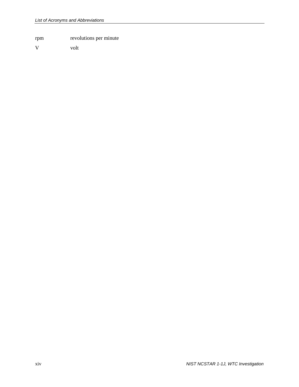#### rpm revolutions per minute

V volt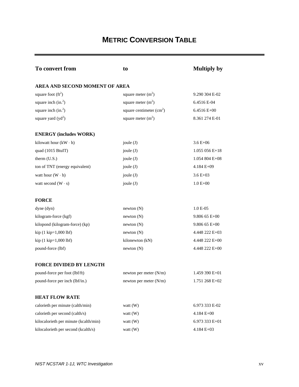# **METRIC CONVERSION TABLE**

| To convert from                       | to                        | <b>Multiply by</b> |
|---------------------------------------|---------------------------|--------------------|
| AREA AND SECOND MOMENT OF AREA        |                           |                    |
| square foot $(ft^2)$                  | square meter $(m2)$       | 9.290 304 E-02     |
| square inch $(in.^2)$                 | square meter $(m2)$       | 6.4516 E-04        |
| square inch $(in.^2)$                 | square centimeter $(cm2)$ | $6.4516 E + 00$    |
| square yard $(yd^2)$                  | square meter $(m2)$       | 8.361 274 E-01     |
| <b>ENERGY</b> (includes WORK)         |                           |                    |
| kilowatt hour $(kW \cdot h)$          | joule $(J)$               | $3.6 E + 06$       |
| quad (1015 BtuIT)                     | joule (J)                 | $1.055056E+18$     |
| therm $(U.S.)$                        | joule $(J)$               | $1.054804 E+08$    |
| ton of TNT (energy equivalent)        | joule $(J)$               | $4.184 E+09$       |
| watt hour $(W \cdot h)$               | joule $(J)$               | $3.6 E + 03$       |
| watt second $(W \cdot s)$             | joule (J)                 | $1.0 E + 00$       |
| <b>FORCE</b>                          |                           |                    |
| dyne (dyn)                            | newton(N)                 | $1.0 E-0.5$        |
| kilogram-force (kgf)                  | newton(N)                 | $9.80665 E+00$     |
| kilopond (kilogram-force) (kp)        | newton(N)                 | 9.806 65 E+00      |
| kip (1 kip=1,000 lbf)                 | newton(N)                 | 4.448 222 E+03     |
| kip (1 kip=1,000 lbf)                 | kilonewton (kN)           | 4.448 222 E+00     |
| pound-force (lbf)                     | newton(N)                 | 4.448 222 E+00     |
| <b>FORCE DIVIDED BY LENGTH</b>        |                           |                    |
| pound-force per foot (lbf/ft)         | newton per meter $(N/m)$  | 1.459 390 E+01     |
| pound-force per inch (lbf/in.)        | newton per meter (N/m)    | 1.751 268 E+02     |
| <b>HEAT FLOW RATE</b>                 |                           |                    |
| calorieth per minute (calth/min)      | watt $(W)$                | 6.973 333 E-02     |
| calorieth per second (calth/s)        | watt $(W)$                | $4.184 E+00$       |
| kilocalorieth per minute (kcalth/min) | watt $(W)$                | 6.973 333 $E+01$   |
| kilocalorieth per second (kcalth/s)   | watt $(W)$                | $4.184 E+03$       |
|                                       |                           |                    |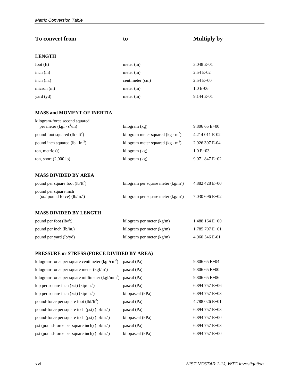| To convert from                                                 | to                                                  | <b>Multiply by</b> |
|-----------------------------------------------------------------|-----------------------------------------------------|--------------------|
| <b>LENGTH</b>                                                   |                                                     |                    |
| foot $(ft)$                                                     | meter (m)                                           | 3.048 E-01         |
| inch (in)                                                       | meter (m)                                           | 2.54 E-02          |
| inch $(in.)$                                                    | centimeter (cm)                                     | $2.54E+00$         |
| micron(m)                                                       | meter (m)                                           | $1.0 E-06$         |
| yard (yd)                                                       | meter (m)                                           | 9.144 E-01         |
| <b>MASS and MOMENT OF INERTIA</b>                               |                                                     |                    |
| kilogram-force second squared                                   |                                                     |                    |
| per meter (kgf · $s^2/m$ )                                      | kilogram (kg)                                       | $9.80665 E + 00$   |
| pound foot squared $(lb \cdot ft^2)$                            | kilogram meter squared (kg $\cdot$ m <sup>2</sup> ) | 4.214 011 E-02     |
| pound inch squared $(lb \cdot in.^2)$                           | kilogram meter squared (kg $\cdot$ m <sup>2</sup> ) | 2.926 397 E-04     |
| ton, metric (t)                                                 | kilogram (kg)                                       | $1.0 E + 03$       |
| ton, short $(2,000$ lb)                                         | kilogram (kg)                                       | $9.071$ 847 E+02   |
| MASS DIVIDED BY AREA                                            |                                                     |                    |
| pound per square foot $(lb/ft^2)$                               | kilogram per square meter $(kg/m2)$                 | $4.882$ 428 E+00   |
| pound per square inch<br>( <i>not</i> pound force) $(lb/in.^2)$ | kilogram per square meter $(kg/m2)$                 | $7.030696 E + 02$  |
| <b>MASS DIVIDED BY LENGTH</b>                                   |                                                     |                    |
| pound per foot (lb/ft)                                          | kilogram per meter (kg/m)                           | $1.488$ 164 E+00   |
| pound per inch (lb/in.)                                         | kilogram per meter (kg/m)                           | $1.785797 E+01$    |
| pound per yard (lb/yd)                                          | kilogram per meter (kg/m)                           | 4.960 546 E-01     |
| PRESSURE or STRESS (FORCE DIVIDED BY AREA)                      |                                                     |                    |
| kilogram-force per square centimeter ( $\text{kgf/cm}^2$ )      | pascal (Pa)                                         | 9.806 65 E+04      |
| kilogram-force per square meter $(kgf/m2)$                      | pascal (Pa)                                         | 9.806 65 E+00      |
| kilogram-force per square millimeter ( $\text{kgf/mm}^2$ )      | pascal (Pa)                                         | 9.806 65 E+06      |
| kip per square inch (ksi) $(kip/in.^2)$                         | pascal (Pa)                                         | 6.894 757 E+06     |
| kip per square inch (ksi) $(kip/in.^2)$                         | kilopascal (kPa)                                    | 6.894 757 E+03     |
| pound-force per square foot $(lbf/ft^2)$                        | pascal (Pa)                                         | 4.788 026 E+01     |

pascal (Pa) 6.894 757 E+03

) kilopascal (kPa) 6.894 757 E+00

pascal (Pa) 6.894 757 E+03

) kilopascal (kPa) 6.894 757 E+00

pound-force per square inch (psi) (lbf/in.<sup>2</sup>

pound-force per square inch (psi) (lbf/in.<sup>2</sup>)

psi (pound-force per square inch) (lbf/in.<sup>2</sup>)

psi (pound-force per square inch) (lbf/in.<sup>2</sup>)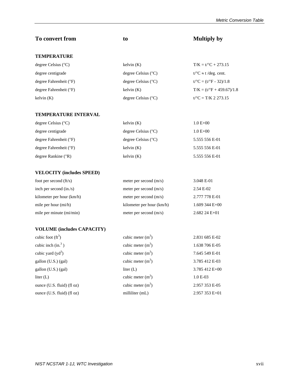#### **To convert from to be a set of the Multiply by Multiply by TEMPERATURE**  degree Celsius (°C) kelvin (K)  $T/K = t$ <sup>o</sup>C + 273.15 degree centigrade degree Celsius (°C) t/°C  $\approx$  t /deg. cent. degree Fahrenheit (°F) degree Celsius (°C)  $t$ <sup>o</sup>C =  $(t$ <sup>o</sup>F - 32)/1.8 degree Fahrenheit (°F) kelvin (K)  $T/K = (t/\text{°F} + 459.67)/1.8$ kelvin (K) degree Celsius (°C) t/°C = T/K 2 273.15 **TEMPERATURE INTERVAL**  degree Celsius (°C) kelvin (K)  $1.0 \text{ E} + 00$ degree centigrade degree Celsius (°C) 1.0 E+00 degree Fahrenheit (°F) degree Celsius (°C) 5.555 556 E-01 degree Fahrenheit (°F) kelvin (K) 5.555 556 E-01 degree Rankine (°R) kelvin (K) 5.555 556 E-01 **VELOCITY (includes SPEED)**  foot per second (ft/s) meter per second (m/s) 3.048 E-01 inch per second (in./s) meter per second (m/s) 2.54 E-02 kilometer per hour (km/h) meter per second (m/s) 2.777 778 E-01 mile per hour (mi/h) kilometer per hour (km/h) 1.609 344 E+00 mile per minute (mi/min) meter per second (m/s) 2.682 24 E+01 **VOLUME (includes CAPACITY)**  cubic foot  $(ft^3)$ cubic meter  $(m<sup>3</sup>)$ ) 2.831 685 E-02 cubic inch  $(in.^3)$ cubic meter  $(m<sup>3</sup>)$ ) 1.638 706 E-05 cubic yard  $(yd^3)$ cubic meter  $(m<sup>3</sup>)$ ) 7.645 549 E-01 gallon  $(U.S.)$  (gal) cubic meter  $(m<sup>3</sup>)$ ) 3.785 412 E-03 gallon (U.S.) (gal) liter (L) 3.785 412 E+00

ounce (U.S. fluid) (fl oz) milliliter (mL)  $2.957\,353\text{ E}+01$ 

 $\text{liter (L)}$  cubic meter (m<sup>3</sup>)

ounce (U.S. fluid) (fl oz) cubic meter  $(m<sup>3</sup>)$ 

) 1.0 E-03

) 2.957 353 E-05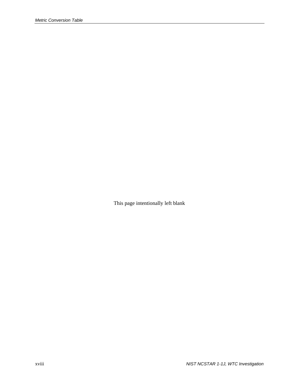This page intentionally left blank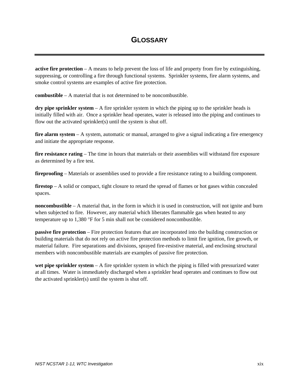**active fire protection** – A means to help prevent the loss of life and property from fire by extinguishing, suppressing, or controlling a fire through functional systems. Sprinkler systems, fire alarm systems, and smoke control systems are examples of active fire protection.

**combustible** – A material that is not determined to be noncombustible.

**dry pipe sprinkler system** – A fire sprinkler system in which the piping up to the sprinkler heads is initially filled with air. Once a sprinkler head operates, water is released into the piping and continues to flow out the activated sprinkler(s) until the system is shut off.

**fire alarm system** – A system, automatic or manual, arranged to give a signal indicating a fire emergency and initiate the appropriate response.

**fire resistance rating** – The time in hours that materials or their assemblies will withstand fire exposure as determined by a fire test.

**fireproofing** – Materials or assemblies used to provide a fire resistance rating to a building component.

**firestop** – A solid or compact, tight closure to retard the spread of flames or hot gases within concealed spaces.

**noncombustible** – A material that, in the form in which it is used in construction, will not ignite and burn when subjected to fire. However, any material which liberates flammable gas when heated to any temperature up to 1,380 °F for 5 min shall not be considered noncombustible.

**passive fire protection** – Fire protection features that are incorporated into the building construction or building materials that do not rely on active fire protection methods to limit fire ignition, fire growth, or material failure. Fire separations and divisions, sprayed fire-resistive material, and enclosing structural members with noncombustible materials are examples of passive fire protection.

**wet pipe sprinkler system** – A fire sprinkler system in which the piping is filled with pressurized water at all times. Water is immediately discharged when a sprinkler head operates and continues to flow out the activated sprinkler(s) until the system is shut off.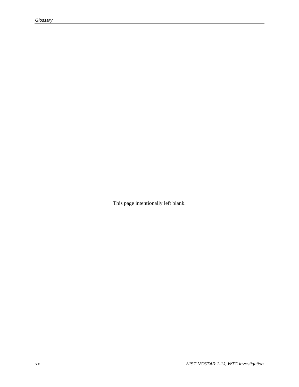This page intentionally left blank.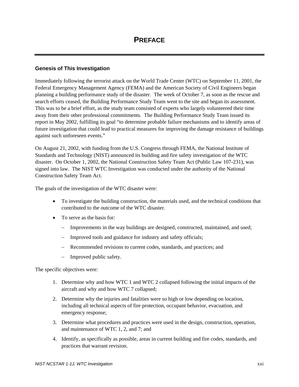#### **Genesis of This Investigation**

Immediately following the terrorist attack on the World Trade Center (WTC) on September 11, 2001, the Federal Emergency Management Agency (FEMA) and the American Society of Civil Engineers began planning a building performance study of the disaster. The week of October 7, as soon as the rescue and search efforts ceased, the Building Performance Study Team went to the site and began its assessment. This was to be a brief effort, as the study team consisted of experts who largely volunteered their time away from their other professional commitments. The Building Performance Study Team issued its report in May 2002, fulfilling its goal "to determine probable failure mechanisms and to identify areas of future investigation that could lead to practical measures for improving the damage resistance of buildings against such unforeseen events."

On August 21, 2002, with funding from the U.S. Congress through FEMA, the National Institute of Standards and Technology (NIST) announced its building and fire safety investigation of the WTC disaster. On October 1, 2002, the National Construction Safety Team Act (Public Law 107-231), was signed into law. The NIST WTC Investigation was conducted under the authority of the National Construction Safety Team Act.

The goals of the investigation of the WTC disaster were:

- To investigate the building construction, the materials used, and the technical conditions that contributed to the outcome of the WTC disaster.
- To serve as the basis for:
	- − Improvements in the way buildings are designed, constructed, maintained, and used;
	- − Improved tools and guidance for industry and safety officials;
	- − Recommended revisions to current codes, standards, and practices; and
	- − Improved public safety.

The specific objectives were:

- 1. Determine why and how WTC 1 and WTC 2 collapsed following the initial impacts of the aircraft and why and how WTC 7 collapsed;
- 2. Determine why the injuries and fatalities were so high or low depending on location, including all technical aspects of fire protection, occupant behavior, evacuation, and emergency response;
- 3. Determine what procedures and practices were used in the design, construction, operation, and maintenance of WTC 1, 2, and 7; and
- 4. Identify, as specifically as possible, areas in current building and fire codes, standards, and practices that warrant revision.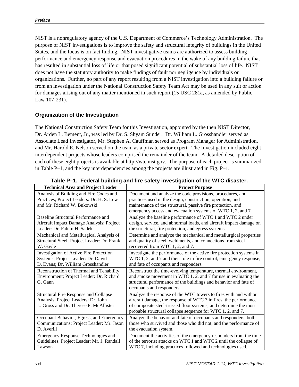NIST is a nonregulatory agency of the U.S. Department of Commerce's Technology Administration. The purpose of NIST investigations is to improve the safety and structural integrity of buildings in the United States, and the focus is on fact finding. NIST investigative teams are authorized to assess building performance and emergency response and evacuation procedures in the wake of any building failure that has resulted in substantial loss of life or that posed significant potential of substantial loss of life. NIST does not have the statutory authority to make findings of fault nor negligence by individuals or organizations. Further, no part of any report resulting from a NIST investigation into a building failure or from an investigation under the National Construction Safety Team Act may be used in any suit or action for damages arising out of any matter mentioned in such report (15 USC 281a, as amended by Public Law 107-231).

#### **Organization of the Investigation**

The National Construction Safety Team for this Investigation, appointed by the then NIST Director, Dr. Arden L. Bement, Jr., was led by Dr. S. Shyam Sunder. Dr. William L. Grosshandler served as Associate Lead Investigator, Mr. Stephen A. Cauffman served as Program Manager for Administration, and Mr. Harold E. Nelson served on the team as a private sector expert. The Investigation included eight interdependent projects whose leaders comprised the remainder of the team. A detailed description of each of these eight projects is available at http://wtc.nist.gov. The purpose of each project is summarized in Table P–1, and the key interdependencies among the projects are illustrated in Fig. P–1.

|                                                                                                                        | $1$ abic I $-1$ . Teaclar bununly and the salety investigation of the WTO disaster.                                                                                                                                                                                    |
|------------------------------------------------------------------------------------------------------------------------|------------------------------------------------------------------------------------------------------------------------------------------------------------------------------------------------------------------------------------------------------------------------|
| <b>Technical Area and Project Leader</b>                                                                               | <b>Project Purpose</b>                                                                                                                                                                                                                                                 |
| Analysis of Building and Fire Codes and<br>Practices; Project Leaders: Dr. H. S. Lew<br>and Mr. Richard W. Bukowski    | Document and analyze the code provisions, procedures, and<br>practices used in the design, construction, operation, and<br>maintenance of the structural, passive fire protection, and<br>emergency access and evacuation systems of WTC 1, 2, and 7.                  |
| Baseline Structural Performance and                                                                                    | Analyze the baseline performance of WTC 1 and WTC 2 under                                                                                                                                                                                                              |
| Aircraft Impact Damage Analysis; Project                                                                               | design, service, and abnormal loads, and aircraft impact damage on                                                                                                                                                                                                     |
| Leader: Dr. Fahim H. Sadek                                                                                             | the structural, fire protection, and egress systems.                                                                                                                                                                                                                   |
| Mechanical and Metallurgical Analysis of                                                                               | Determine and analyze the mechanical and metallurgical properties                                                                                                                                                                                                      |
| Structural Steel; Project Leader: Dr. Frank                                                                            | and quality of steel, weldments, and connections from steel                                                                                                                                                                                                            |
| W. Gayle                                                                                                               | recovered from WTC 1, 2, and 7.                                                                                                                                                                                                                                        |
| Investigation of Active Fire Protection                                                                                | Investigate the performance of the active fire protection systems in                                                                                                                                                                                                   |
| Systems; Project Leader: Dr. David                                                                                     | WTC 1, 2, and 7 and their role in fire control, emergency response,                                                                                                                                                                                                    |
| D. Evans; Dr. William Grosshandler                                                                                     | and fate of occupants and responders.                                                                                                                                                                                                                                  |
| Reconstruction of Thermal and Tenability<br>Environment; Project Leader: Dr. Richard<br>G. Gann                        | Reconstruct the time-evolving temperature, thermal environment,<br>and smoke movement in WTC 1, 2, and 7 for use in evaluating the<br>structural performance of the buildings and behavior and fate of<br>occupants and responders.                                    |
| Structural Fire Response and Collapse<br>Analysis; Project Leaders: Dr. John<br>L. Gross and Dr. Therese P. McAllister | Analyze the response of the WTC towers to fires with and without<br>aircraft damage, the response of WTC 7 in fires, the performance<br>of composite steel-trussed floor systems, and determine the most<br>probable structural collapse sequence for WTC 1, 2, and 7. |
| Occupant Behavior, Egress, and Emergency                                                                               | Analyze the behavior and fate of occupants and responders, both                                                                                                                                                                                                        |
| Communications; Project Leader: Mr. Jason                                                                              | those who survived and those who did not, and the performance of                                                                                                                                                                                                       |
| D. Averill                                                                                                             | the evacuation system.                                                                                                                                                                                                                                                 |
| Emergency Response Technologies and                                                                                    | Document the activities of the emergency responders from the time                                                                                                                                                                                                      |
| Guidelines; Project Leader: Mr. J. Randall                                                                             | of the terrorist attacks on WTC 1 and WTC 2 until the collapse of                                                                                                                                                                                                      |
| Lawson                                                                                                                 | WTC 7, including practices followed and technologies used.                                                                                                                                                                                                             |

**Table P–1. Federal building and fire safety investigation of the WTC disaster.**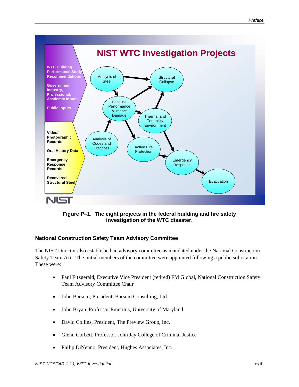

**Figure P–1. The eight projects in the federal building and fire safety investigation of the WTC disaster.** 

#### **National Construction Safety Team Advisory Committee**

The NIST Director also established an advisory committee as mandated under the National Construction Safety Team Act. The initial members of the committee were appointed following a public solicitation. These were:

- Paul Fitzgerald, Executive Vice President (retired) FM Global, National Construction Safety Team Advisory Committee Chair
- John Barsom, President, Barsom Consulting, Ltd.
- John Bryan, Professor Emeritus, University of Maryland
- David Collins, President, The Preview Group, Inc.
- Glenn Corbett, Professor, John Jay College of Criminal Justice
- Philip DiNenno, President, Hughes Associates, Inc.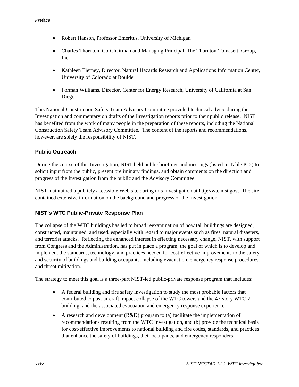- Robert Hanson, Professor Emeritus, University of Michigan
- Charles Thornton, Co-Chairman and Managing Principal, The Thornton-Tomasetti Group, Inc.
- Kathleen Tierney, Director, Natural Hazards Research and Applications Information Center, University of Colorado at Boulder
- Forman Williams, Director, Center for Energy Research, University of California at San Diego

This National Construction Safety Team Advisory Committee provided technical advice during the Investigation and commentary on drafts of the Investigation reports prior to their public release. NIST has benefited from the work of many people in the preparation of these reports, including the National Construction Safety Team Advisory Committee. The content of the reports and recommendations, however, are solely the responsibility of NIST.

#### **Public Outreach**

During the course of this Investigation, NIST held public briefings and meetings (listed in Table P–2) to solicit input from the public, present preliminary findings, and obtain comments on the direction and progress of the Investigation from the public and the Advisory Committee.

NIST maintained a publicly accessible Web site during this Investigation at [http://wtc.nist.gov](http://wtc.nist.gov/). The site contained extensive information on the background and progress of the Investigation.

#### **NIST's WTC Public-Private Response Plan**

The collapse of the WTC buildings has led to broad reexamination of how tall buildings are designed, constructed, maintained, and used, especially with regard to major events such as fires, natural disasters, and terrorist attacks. Reflecting the enhanced interest in effecting necessary change, NIST, with support from Congress and the Administration, has put in place a program, the goal of which is to develop and implement the standards, technology, and practices needed for cost-effective improvements to the safety and security of buildings and building occupants, including evacuation, emergency response procedures, and threat mitigation.

The strategy to meet this goal is a three-part NIST-led public-private response program that includes:

- A federal building and fire safety investigation to study the most probable factors that contributed to post-aircraft impact collapse of the WTC towers and the 47-story WTC 7 building, and the associated evacuation and emergency response experience.
- A research and development (R&D) program to (a) facilitate the implementation of recommendations resulting from the WTC Investigation, and (b) provide the technical basis for cost-effective improvements to national building and fire codes, standards, and practices that enhance the safety of buildings, their occupants, and emergency responders.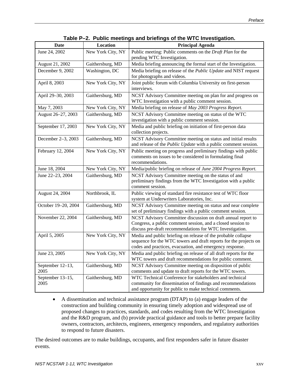| Date                     | <b>Location</b>   | <b>Principal Agenda</b>                                                                                                                                                                        |  |
|--------------------------|-------------------|------------------------------------------------------------------------------------------------------------------------------------------------------------------------------------------------|--|
| June 24, 2002            | New York City, NY | Public meeting: Public comments on the Draft Plan for the<br>pending WTC Investigation.                                                                                                        |  |
| August 21, 2002          | Gaithersburg, MD  | Media briefing announcing the formal start of the Investigation.                                                                                                                               |  |
| December 9, 2002         | Washington, DC    | Media briefing on release of the Public Update and NIST request<br>for photographs and videos.                                                                                                 |  |
| April 8, 2003            | New York City, NY | Joint public forum with Columbia University on first-person<br>interviews.                                                                                                                     |  |
| April 29-30, 2003        | Gaithersburg, MD  | NCST Advisory Committee meeting on plan for and progress on<br>WTC Investigation with a public comment session.                                                                                |  |
| May 7, 2003              | New York City, NY | Media briefing on release of May 2003 Progress Report.                                                                                                                                         |  |
| August 26-27, 2003       | Gaithersburg, MD  | NCST Advisory Committee meeting on status of the WTC<br>investigation with a public comment session.                                                                                           |  |
| September 17, 2003       | New York City, NY | Media and public briefing on initiation of first-person data<br>collection projects.                                                                                                           |  |
| December 2-3, 2003       | Gaithersburg, MD  | NCST Advisory Committee meeting on status and initial results<br>and release of the <i>Public Update</i> with a public comment session.                                                        |  |
| February 12, 2004        | New York City, NY | Public meeting on progress and preliminary findings with public<br>comments on issues to be considered in formulating final<br>recommendations.                                                |  |
| June 18, 2004            | New York City, NY | Media/public briefing on release of June 2004 Progress Report.                                                                                                                                 |  |
| June 22-23, 2004         | Gaithersburg, MD  | NCST Advisory Committee meeting on the status of and<br>preliminary findings from the WTC Investigation with a public<br>comment session.                                                      |  |
| August 24, 2004          | Northbrook, IL    | Public viewing of standard fire resistance test of WTC floor<br>system at Underwriters Laboratories, Inc.                                                                                      |  |
| October 19-20, 2004      | Gaithersburg, MD  | NCST Advisory Committee meeting on status and near complete<br>set of preliminary findings with a public comment session.                                                                      |  |
| November 22, 2004        | Gaithersburg, MD  | NCST Advisory Committee discussion on draft annual report to<br>Congress, a public comment session, and a closed session to<br>discuss pre-draft recommendations for WTC Investigation.        |  |
| April 5, 2005            | New York City, NY | Media and public briefing on release of the probable collapse<br>sequence for the WTC towers and draft reports for the projects on<br>codes and practices, evacuation, and emergency response. |  |
| June 23, 2005            | New York City, NY | Media and public briefing on release of all draft reports for the<br>WTC towers and draft recommendations for public comment.                                                                  |  |
| September 12-13,<br>2005 | Gaithersburg, MD  | NCST Advisory Committee meeting on disposition of public<br>comments and update to draft reports for the WTC towers.                                                                           |  |
| September 13-15,<br>2005 | Gaithersburg, MD  | WTC Technical Conference for stakeholders and technical<br>community for dissemination of findings and recommendations<br>and opportunity for public to make technical comments.               |  |

|  | Table P-2. Public meetings and briefings of the WTC Investigation. |  |  |  |
|--|--------------------------------------------------------------------|--|--|--|
|--|--------------------------------------------------------------------|--|--|--|

• A dissemination and technical assistance program (DTAP) to (a) engage leaders of the construction and building community in ensuring timely adoption and widespread use of proposed changes to practices, standards, and codes resulting from the WTC Investigation and the R&D program, and (b) provide practical guidance and tools to better prepare facility owners, contractors, architects, engineers, emergency responders, and regulatory authorities to respond to future disasters.

The desired outcomes are to make buildings, occupants, and first responders safer in future disaster events.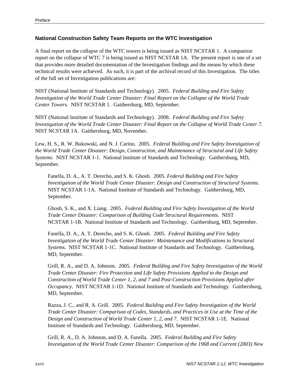#### **National Construction Safety Team Reports on the WTC Investigation**

A final report on the collapse of the WTC towers is being issued as NIST NCSTAR 1. A companion report on the collapse of WTC 7 is being issued as NIST NCSTAR 1A. The present report is one of a set that provides more detailed documentation of the Investigation findings and the means by which these technical results were achieved. As such, it is part of the archival record of this Investigation. The titles of the full set of Investigation publications are:

NIST (National Institute of Standards and Technology). 2005. *Federal Building and Fire Safety Investigation of the World Trade Center Disaster: Final Report on the Collapse of the World Trade Center Towers.* NIST NCSTAR 1. Gaithersburg, MD, September.

NIST (National Institute of Standards and Technology). 2008. *Federal Building and Fire Safety Investigation of the World Trade Center Disaster: Final Report on the Collapse of World Trade Center 7.* NIST NCSTAR 1A. Gaithersburg, MD, November.

Lew, H. S., R. W. Bukowski, and N. J. Carino. 2005. *Federal Building and Fire Safety Investigation of the World Trade Center Disaster: Design, Construction, and Maintenance of Structural and Life Safety Systems.* NIST NCSTAR 1-1. National Institute of Standards and Technology. Gaithersburg, MD, September.

Fanella, D. A., A. T. Derecho, and S. K. Ghosh. 2005. *Federal Building and Fire Safety Investigation of the World Trade Center Disaster: Design and Construction of Structural Systems.*  NIST NCSTAR 1-1A. National Institute of Standards and Technology. Gaithersburg, MD, September.

Ghosh, S. K., and X. Liang. 2005. *Federal Building and Fire Safety Investigation of the World Trade Center Disaster: Comparison of Building Code Structural Requirements.* NIST NCSTAR 1-1B. National Institute of Standards and Technology. Gaithersburg, MD, September.

Fanella, D. A., A. T. Derecho, and S. K. Ghosh. 2005. *Federal Building and Fire Safety Investigation of the World Trade Center Disaster: Maintenance and Modifications to Structural Systems.* NIST NCSTAR 1-1C. National Institute of Standards and Technology. Gaithersburg, MD, September.

Grill, R. A., and D. A. Johnson. 2005. *Federal Building and Fire Safety Investigation of the World Trade Center Disaster: Fire Protection and Life Safety Provisions Applied to the Design and Construction of World Trade Center 1, 2, and 7 and Post-Construction Provisions Applied after Occupancy*. NIST NCSTAR 1-1D. National Institute of Standards and Technology. Gaithersburg, MD, September.

Razza, J. C., and R. A. Grill. 2005. *Federal Building and Fire Safety Investigation of the World Trade Center Disaster: Comparison of Codes, Standards, and Practices in Use at the Time of the Design and Construction of World Trade Center 1, 2, and 7*. NIST NCSTAR 1-1E. National Institute of Standards and Technology. Gaithersburg, MD, September.

Grill, R. A., D. A. Johnson, and D. A. Fanella. 2005. *Federal Building and Fire Safety Investigation of the World Trade Center Disaster: Comparison of the 1968 and Current (2003) New*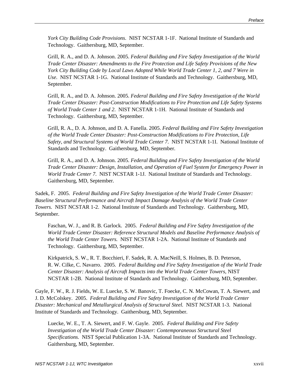*York City Building Code Provisions*. NIST NCSTAR 1-1F. National Institute of Standards and Technology. Gaithersburg, MD, September.

Grill, R. A., and D. A. Johnson. 2005. *Federal Building and Fire Safety Investigation of the World Trade Center Disaster: Amendments to the Fire Protection and Life Safety Provisions of the New York City Building Code by Local Laws Adopted While World Trade Center 1, 2, and 7 Were in Use*. NIST NCSTAR 1-1G. National Institute of Standards and Technology. Gaithersburg, MD, September.

Grill, R. A., and D. A. Johnson. 2005. *Federal Building and Fire Safety Investigation of the World Trade Center Disaster: Post-Construction Modifications to Fire Protection and Life Safety Systems of World Trade Center 1 and 2*. NIST NCSTAR 1-1H. National Institute of Standards and Technology. Gaithersburg, MD, September.

Grill, R. A., D. A. Johnson, and D. A. Fanella. 2005. *Federal Building and Fire Safety Investigation of the World Trade Center Disaster: Post-Construction Modifications to Fire Protection, Life Safety, and Structural Systems of World Trade Center 7*. NIST NCSTAR 1-1I. National Institute of Standards and Technology. Gaithersburg, MD, September.

Grill, R. A., and D. A. Johnson. 2005. *Federal Building and Fire Safety Investigation of the World Trade Center Disaster: Design, Installation, and Operation of Fuel System for Emergency Power in World Trade Center 7*. NIST NCSTAR 1-1J. National Institute of Standards and Technology. Gaithersburg, MD, September.

Sadek, F. 2005. *Federal Building and Fire Safety Investigation of the World Trade Center Disaster: Baseline Structural Performance and Aircraft Impact Damage Analysis of the World Trade Center Towers.* NIST NCSTAR 1-2. National Institute of Standards and Technology. Gaithersburg, MD, September.

Faschan, W. J., and R. B. Garlock. 2005. *Federal Building and Fire Safety Investigation of the World Trade Center Disaster: Reference Structural Models and Baseline Performance Analysis of the World Trade Center Towers.* NIST NCSTAR 1-2A. National Institute of Standards and Technology. Gaithersburg, MD, September.

Kirkpatrick, S. W., R. T. Bocchieri, F. Sadek, R. A. MacNeill, S. Holmes, B. D. Peterson, R. W. Cilke, C. Navarro. 2005. *Federal Building and Fire Safety Investigation of the World Trade Center Disaster: Analysis of Aircraft Impacts into the World Trade Center Towers,* NIST NCSTAR 1-2B. National Institute of Standards and Technology. Gaithersburg, MD, September.

Gayle, F. W., R. J. Fields, W. E. Luecke, S. W. Banovic, T. Foecke, C. N. McCowan, T. A. Siewert, and J. D. McColskey. 2005. *Federal Building and Fire Safety Investigation of the World Trade Center Disaster: Mechanical and Metallurgical Analysis of Structural Steel.* NIST NCSTAR 1-3. National Institute of Standards and Technology. Gaithersburg, MD, September.

Luecke, W. E., T. A. Siewert, and F. W. Gayle. 2005. *Federal Building and Fire Safety Investigation of the World Trade Center Disaster: Contemporaneous Structural Steel Specifications.* NIST Special Publication 1-3A. National Institute of Standards and Technology. Gaithersburg, MD, September.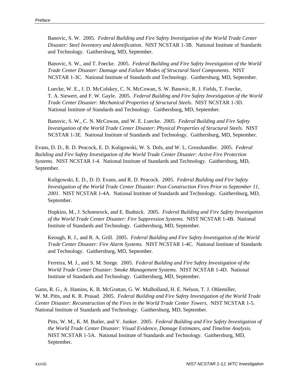Banovic, S. W. 2005. *Federal Building and Fire Safety Investigation of the World Trade Center Disaster: Steel Inventory and Identification.* NIST NCSTAR 1-3B. National Institute of Standards and Technology. Gaithersburg, MD, September.

Banovic, S. W., and T. Foecke. 2005. *Federal Building and Fire Safety Investigation of the World Trade Center Disaster: Damage and Failure Modes of Structural Steel Components.* NIST NCSTAR 1-3C. National Institute of Standards and Technology. Gaithersburg, MD, September.

Luecke, W. E., J. D. McColskey, C. N. McCowan, S. W. Banovic, R. J. Fields, T. Foecke, T. A. Siewert, and F. W. Gayle. 2005. *Federal Building and Fire Safety Investigation of the World Trade Center Disaster: Mechanical Properties of Structural Steels.* NIST NCSTAR 1-3D. National Institute of Standards and Technology. Gaithersburg, MD, September.

Banovic, S. W., C. N. McCowan, and W. E. Luecke. 2005. *Federal Building and Fire Safety Investigation of the World Trade Center Disaster: Physical Properties of Structural Steels.* NIST NCSTAR 1-3E. National Institute of Standards and Technology. Gaithersburg, MD, September.

Evans, D. D., R. D. Peacock, E. D. Kuligowski, W. S. Dols, and W. L. Grosshandler. 2005. *Federal Building and Fire Safety Investigation of the World Trade Center Disaster: Active Fire Protection Systems.* NIST NCSTAR 1-4. National Institute of Standards and Technology. Gaithersburg, MD, September.

Kuligowski, E. D., D. D. Evans, and R. D. Peacock. 2005. *Federal Building and Fire Safety Investigation of the World Trade Center Disaster: Post-Construction Fires Prior to September 11, 2001.* NIST NCSTAR 1-4A. National Institute of Standards and Technology. Gaithersburg, MD, September.

Hopkins, M., J. Schoenrock, and E. Budnick. 2005. *Federal Building and Fire Safety Investigation of the World Trade Center Disaster: Fire Suppression Systems.* NIST NCSTAR 1-4B. National Institute of Standards and Technology. Gaithersburg, MD, September.

Keough, R. J., and R. A. Grill. 2005. *Federal Building and Fire Safety Investigation of the World Trade Center Disaster: Fire Alarm Systems.* NIST NCSTAR 1-4C. National Institute of Standards and Technology. Gaithersburg, MD, September.

Ferreira, M. J., and S. M. Strege. 2005. *Federal Building and Fire Safety Investigation of the World Trade Center Disaster: Smoke Management Systems.* NIST NCSTAR 1-4D. National Institute of Standards and Technology. Gaithersburg, MD, September.

Gann, R. G., A. Hamins, K. B. McGrattan, G. W. Mulholland, H. E. Nelson, T. J. Ohlemiller, W. M. Pitts, and K. R. Prasad. 2005. *Federal Building and Fire Safety Investigation of the World Trade Center Disaster: Reconstruction of the Fires in the World Trade Center Towers.* NIST NCSTAR 1-5. National Institute of Standards and Technology. Gaithersburg, MD, September.

Pitts, W. M., K. M. Butler, and V. Junker. 2005. *Federal Building and Fire Safety Investigation of the World Trade Center Disaster: Visual Evidence, Damage Estimates, and Timeline Analysis.* NIST NCSTAR 1-5A. National Institute of Standards and Technology. Gaithersburg, MD, September.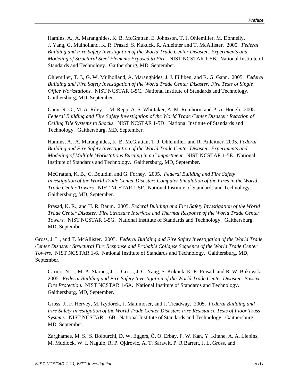Hamins, A., A. Maranghides, K. B. McGrattan, E. Johnsson, T. J. Ohlemiller, M. Donnelly, J. Yang, G. Mulholland, K. R. Prasad, S. Kukuck, R. Anleitner and T. McAllister. 2005. *Federal Building and Fire Safety Investigation of the World Trade Center Disaster: Experiments and Modeling of Structural Steel Elements Exposed to Fire.* NIST NCSTAR 1-5B. National Institute of Standards and Technology. Gaithersburg, MD, September.

Ohlemiller, T. J., G. W. Mulholland, A. Maranghides, J. J. Filliben, and R. G. Gann. 2005. *Federal Building and Fire Safety Investigation of the World Trade Center Disaster: Fire Tests of Single Office Workstations.* NIST NCSTAR 1-5C. National Institute of Standards and Technology. Gaithersburg, MD, September.

Gann, R. G., M. A. Riley, J. M. Repp, A. S. Whittaker, A. M. Reinhorn, and P. A. Hough. 2005. *Federal Building and Fire Safety Investigation of the World Trade Center Disaster: Reaction of Ceiling Tile Systems to Shocks.* NIST NCSTAR 1-5D. National Institute of Standards and Technology. Gaithersburg, MD, September.

Hamins, A., A. Maranghides, K. B. McGrattan, T. J. Ohlemiller, and R. Anleitner. 2005. *Federal Building and Fire Safety Investigation of the World Trade Center Disaster: Experiments and Modeling of Multiple Workstations Burning in a Compartment.* NIST NCSTAR 1-5E. National Institute of Standards and Technology. Gaithersburg, MD, September.

McGrattan, K. B., C. Bouldin, and G. Forney. 2005. *Federal Building and Fire Safety Investigation of the World Trade Center Disaster: Computer Simulation of the Fires in the World Trade Center Towers.* NIST NCSTAR 1-5F. National Institute of Standards and Technology. Gaithersburg, MD, September.

Prasad, K. R., and H. R. Baum. 2005. *Federal Building and Fire Safety Investigation of the World Trade Center Disaster: Fire Structure Interface and Thermal Response of the World Trade Center Towers.* NIST NCSTAR 1-5G. National Institute of Standards and Technology. Gaithersburg, MD, September.

Gross, J. L., and T. McAllister. 2005. *Federal Building and Fire Safety Investigation of the World Trade Center Disaster: Structural Fire Response and Probable Collapse Sequence of the World Trade Center Towers.* NIST NCSTAR 1-6. National Institute of Standards and Technology. Gaithersburg, MD, September.

Carino, N. J., M. A. Starnes, J. L. Gross, J. C. Yang, S. Kukuck, K. R. Prasad, and R. W. Bukowski. 2005. *Federal Building and Fire Safety Investigation of the World Trade Center Disaster: Passive Fire Protection.* NIST NCSTAR 1-6A. National Institute of Standards and Technology. Gaithersburg, MD, September.

Gross, J., F. Hervey, M. Izydorek, J. Mammoser, and J. Treadway. 2005. *Federal Building and Fire Safety Investigation of the World Trade Center Disaster: Fire Resistance Tests of Floor Truss Systems.* NIST NCSTAR 1-6B. National Institute of Standards and Technology. Gaithersburg, MD, September.

Zarghamee, M. S., S. Bolourchi, D. W. Eggers, Ö. O. Erbay, F. W. Kan, Y. Kitane, A. A. Liepins, M. Mudlock, W. I. Naguib, R. P. Ojdrovic, A. T. Sarawit, P. R Barrett, J. L. Gross, and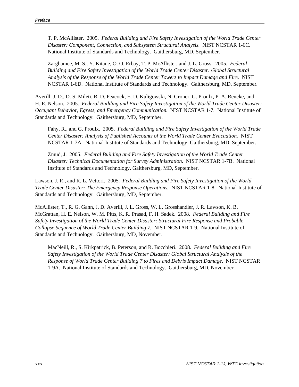T. P. McAllister. 2005. *Federal Building and Fire Safety Investigation of the World Trade Center Disaster: Component, Connection, and Subsystem Structural Analysis.* NIST NCSTAR 1-6C. National Institute of Standards and Technology. Gaithersburg, MD, September.

Zarghamee, M. S., Y. Kitane, Ö. O. Erbay, T. P. McAllister, and J. L. Gross. 2005. *Federal Building and Fire Safety Investigation of the World Trade Center Disaster: Global Structural Analysis of the Response of the World Trade Center Towers to Impact Damage and Fire.* NIST NCSTAR 1-6D. National Institute of Standards and Technology. Gaithersburg, MD, September.

Averill, J. D., D. S. Mileti, R. D. Peacock, E. D. Kuligowski, N. Groner, G. Proulx, P. A. Reneke, and H. E. Nelson. 2005. *Federal Building and Fire Safety Investigation of the World Trade Center Disaster: Occupant Behavior, Egress, and Emergency Communication.* NIST NCSTAR 1-7. National Institute of Standards and Technology. Gaithersburg, MD, September.

Fahy, R., and G. Proulx. 2005. *Federal Building and Fire Safety Investigation of the World Trade Center Disaster: Analysis of Published Accounts of the World Trade Center Evacuation.* NIST NCSTAR 1-7A. National Institute of Standards and Technology. Gaithersburg, MD, September.

Zmud, J. 2005. *Federal Building and Fire Safety Investigation of the World Trade Center Disaster: Technical Documentation for Survey Administration.* NIST NCSTAR 1-7B. National Institute of Standards and Technology. Gaithersburg, MD, September.

Lawson, J. R., and R. L. Vettori. 2005. *Federal Building and Fire Safety Investigation of the World Trade Center Disaster: The Emergency Response Operations.* NIST NCSTAR 1-8. National Institute of Standards and Technology. Gaithersburg, MD, September.

McAllister, T., R. G. Gann, J. D. Averill, J. L. Gross, W. L. Grosshandler, J. R. Lawson, K. B. McGrattan, H. E. Nelson, W. M. Pitts, K. R. Prasad, F. H. Sadek. 2008. *Federal Building and Fire Safety Investigation of the World Trade Center Disaster: Structural Fire Response and Probable Collapse Sequence of World Trade Center Building 7.* NIST NCSTAR 1-9. National Institute of Standards and Technology. Gaithersburg, MD, November.

MacNeill, R., S. Kirkpatrick, B. Peterson, and R. Bocchieri. 2008. *Federal Building and Fire Safety Investigation of the World Trade Center Disaster: Global Structural Analysis of the Response of World Trade Center Building 7 to Fires and Debris Impact Damage*. NIST NCSTAR 1-9A. National Institute of Standards and Technology. Gaithersburg, MD, November.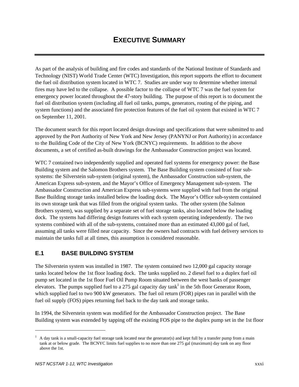As part of the analysis of building and fire codes and standards of the National Institute of Standards and Technology (NIST) World Trade Center (WTC) Investigation, this report supports the effort to document the fuel oil distribution system located in WTC 7. Studies are under way to determine whether internal fires may have led to the collapse. A possible factor to the collapse of WTC 7 was the fuel system for emergency power located throughout the 47-story building. The purpose of this report is to document the fuel oil distribution system (including all fuel oil tanks, pumps, generators, routing of the piping, and system functions) and the associated fire protection features of the fuel oil system that existed in WTC 7 on September 11, 2001.

The document search for this report located design drawings and specifications that were submitted to and approved by the Port Authority of New York and New Jersey (PANYNJ or Port Authority) in accordance to the Building Code of the City of New York (BCNYC) requirements. In addition to the above documents, a set of certified as-built drawings for the Ambassador Construction project was located.

WTC 7 contained two independently supplied and operated fuel systems for emergency power: the Base Building system and the Salomon Brothers system. The Base Building system consisted of four subsystems: the Silverstein sub-system (original system), the Ambassador Construction sub-system, the American Express sub-system, and the Mayor's Office of Emergency Management sub-system. The Ambassador Construction and American Express sub-systems were supplied with fuel from the original Base Building storage tanks installed below the loading dock. The Mayor's Office sub-system contained its own storage tank that was filled from the original system tanks. The other system (the Salmon Brothers system), was supplied by a separate set of fuel storage tanks, also located below the loading dock. The systems had differing design features with each system operating independently. The two systems combined with all of the sub-systems, contained more than an estimated 43,000 gal of fuel, assuming all tanks were filled near capacity. Since the owners had contracts with fuel delivery services to maintain the tanks full at all times, this assumption is considered reasonable.

### **E.1 BASE BUILDING SYSTEM**

The Silverstein system was installed in 1987. The system contained two 12,000 gal capacity storage tanks located below the 1st floor loading dock. The tanks supplied no. 2 diesel fuel to a duplex fuel oil pump set located in the 1st floor Fuel Oil Pump Room situated between the west banks of passenger elevators. The pumps supplied fuel to a 275 gal capacity day tank<sup>1</sup> in the 5th floor Generator Room, which supplied fuel to two 900 kW generators. The fuel oil return (FOR) pipes ran in parallel with the fuel oil supply (FOS) pipes returning fuel back to the day tank and storage tanks.

In 1994, the Silverstein system was modified for the Ambassador Construction project. The Base Building system was extended by tapping off the existing FOS pipe to the duplex pump set in the 1st floor

l

 $<sup>1</sup>$  A day tank is a small-capacity fuel storage tank located near the generator(s) and kept full by a transfer pump from a main</sup> tank at or below grade. The BCNYC limits fuel supplies to no more than one 275 gal (maximum) day tank on any floor above the 1st.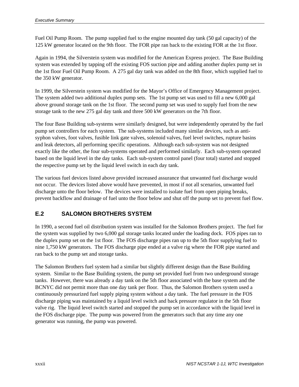Fuel Oil Pump Room. The pump supplied fuel to the engine mounted day tank (50 gal capacity) of the 125 kW generator located on the 9th floor. The FOR pipe ran back to the existing FOR at the 1st floor.

Again in 1994, the Silverstein system was modified for the American Express project. The Base Building system was extended by tapping off the existing FOS suction pipe and adding another duplex pump set in the 1st floor Fuel Oil Pump Room. A 275 gal day tank was added on the 8th floor, which supplied fuel to the 350 kW generator.

In 1999, the Silverstein system was modified for the Mayor's Office of Emergency Management project. The system added two additional duplex pump sets. The 1st pump set was used to fill a new 6,000 gal above ground storage tank on the 1st floor. The second pump set was used to supply fuel from the new storage tank to the new 275 gal day tank and three 500 kW generators on the 7th floor.

The four Base Building sub-systems were similarly designed, but were independently operated by the fuel pump set controllers for each system. The sub-systems included many similar devices, such as antisyphon valves, foot valves, fusible link gate valves, solenoid valves, fuel level switches, rupture basins and leak detectors, all performing specific operations. Although each sub-system was not designed exactly like the other, the four sub-systems operated and performed similarly. Each sub-system operated based on the liquid level in the day tanks. Each sub-system control panel (four total) started and stopped the respective pump set by the liquid level switch in each day tank.

The various fuel devices listed above provided increased assurance that unwanted fuel discharge would not occur. The devices listed above would have prevented, in most if not all scenarios, unwanted fuel discharge unto the floor below. The devices were installed to isolate fuel from open piping breaks, prevent backflow and drainage of fuel unto the floor below and shut off the pump set to prevent fuel flow.

### **E.2 SALOMON BROTHERS SYSTEM**

In 1990, a second fuel oil distribution system was installed for the Salomon Brothers project. The fuel for the system was supplied by two 6,000 gal storage tanks located under the loading dock. FOS pipes ran to the duplex pump set on the 1st floor. The FOS discharge pipes ran up to the 5th floor supplying fuel to nine 1,750 kW generators. The FOS discharge pipe ended at a valve rig where the FOR pipe started and ran back to the pump set and storage tanks.

The Salomon Brothers fuel system had a similar but slightly different design than the Base Building system. Similar to the Base Building system, the pump set provided fuel from two underground storage tanks. However, there was already a day tank on the 5th floor associated with the base system and the BCNYC did not permit more than one day tank per floor. Thus, the Salomon Brothers system used a continuously pressurized fuel supply piping system without a day tank. The fuel pressure in the FOS discharge piping was maintained by a liquid level switch and back pressure regulator in the 5th floor valve rig. The liquid level switch started and stopped the pump set in accordance with the liquid level in the FOS discharge pipe. The pump was powered from the generators such that any time any one generator was running, the pump was powered.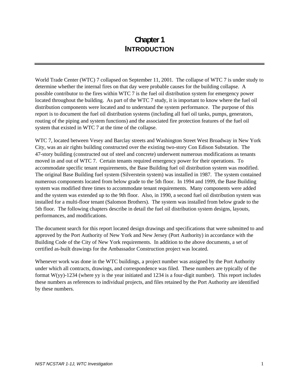## **Chapter 1 INTRODUCTION**

World Trade Center (WTC) 7 collapsed on September 11, 2001. The collapse of WTC 7 is under study to determine whether the internal fires on that day were probable causes for the building collapse. A possible contributor to the fires within WTC 7 is the fuel oil distribution system for emergency power located throughout the building. As part of the WTC 7 study, it is important to know where the fuel oil distribution components were located and to understand the system performance. The purpose of this report is to document the fuel oil distribution systems (including all fuel oil tanks, pumps, generators, routing of the piping and system functions) and the associated fire protection features of the fuel oil system that existed in WTC 7 at the time of the collapse.

WTC 7, located between Vesey and Barclay streets and Washington Street West Broadway in New York City, was an air rights building constructed over the existing two-story Con Edison Substation. The 47-story building (constructed out of steel and concrete) underwent numerous modifications as tenants moved in and out of WTC 7. Certain tenants required emergency power for their operations. To accommodate specific tenant requirements, the Base Building fuel oil distribution system was modified. The original Base Building fuel system (Silverstein system) was installed in 1987. The system contained numerous components located from below grade to the 5th floor. In 1994 and 1999, the Base Building system was modified three times to accommodate tenant requirements. Many components were added and the system was extended up to the 9th floor. Also, in 1990, a second fuel oil distribution system was installed for a multi-floor tenant (Salomon Brothers). The system was installed from below grade to the 5th floor. The following chapters describe in detail the fuel oil distribution system designs, layouts, performances, and modifications.

The document search for this report located design drawings and specifications that were submitted to and approved by the Port Authority of New York and New Jersey (Port Authority) in accordance with the Building Code of the City of New York requirements. In addition to the above documents, a set of certified as-built drawings for the Ambassador Construction project was located.

Whenever work was done in the WTC buildings, a project number was assigned by the Port Authority under which all contracts, drawings, and correspondence was filed. These numbers are typically of the format  $W(yy)$ -1234 (where yy is the year initiated and 1234 is a four-digit number). This report includes these numbers as references to individual projects, and files retained by the Port Authority are identified by these numbers.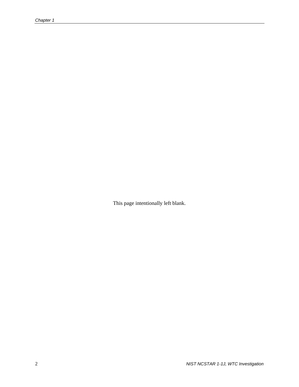This page intentionally left blank.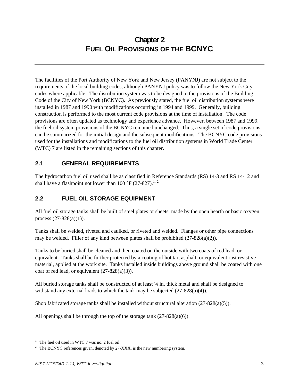# **Chapter 2 FUEL OIL PROVISIONS OF THE BCNYC**

The facilities of the Port Authority of New York and New Jersey (PANYNJ) are not subject to the requirements of the local building codes, although PANYNJ policy was to follow the New York City codes where applicable. The distribution system was to be designed to the provisions of the Building Code of the City of New York (BCNYC). As previously stated, the fuel oil distribution systems were installed in 1987 and 1990 with modifications occurring in 1994 and 1999. Generally, building construction is performed to the most current code provisions at the time of installation. The code provisions are often updated as technology and experience advance. However, between 1987 and 1999, the fuel oil system provisions of the BCNYC remained unchanged. Thus, a single set of code provisions can be summarized for the initial design and the subsequent modifications. The BCNYC code provisions used for the installations and modifications to the fuel oil distribution systems in World Trade Center (WTC) 7 are listed in the remaining sections of this chapter.

#### **2.1 GENERAL REQUIREMENTS**

The hydrocarbon fuel oil used shall be as classified in Reference Standards (RS) 14-3 and RS 14-12 and shall have a flashpoint not lower than 100 °F (27-827).<sup>1, 2</sup>

### **2.2 FUEL OIL STORAGE EQUIPMENT**

All fuel oil storage tanks shall be built of steel plates or sheets, made by the open hearth or basic oxygen process (27-828(a)(1)).

Tanks shall be welded, riveted and caulked, or riveted and welded. Flanges or other pipe connections may be welded. Filler of any kind between plates shall be prohibited (27-828(a)(2)).

Tanks to be buried shall be cleaned and then coated on the outside with two coats of red lead, or equivalent. Tanks shall be further protected by a coating of hot tar, asphalt, or equivalent rust resistive material, applied at the work site. Tanks installed inside buildings above ground shall be coated with one coat of red lead, or equivalent (27-828(a)(3)).

All buried storage tanks shall be constructed of at least  $\frac{1}{4}$  in. thick metal and shall be designed to withstand any external loads to which the tank may be subjected  $(27-828(a)(4))$ .

Shop fabricated storage tanks shall be installed without structural alteration (27-828(a)(5)).

All openings shall be through the top of the storage tank (27-828(a)(6)).

l

<sup>&</sup>lt;sup>1</sup> The fuel oil used in WTC 7 was no. 2 fuel oil.

<sup>&</sup>lt;sup>2</sup> The BCNYC references given, denoted by 27-XXX, is the new numbering system.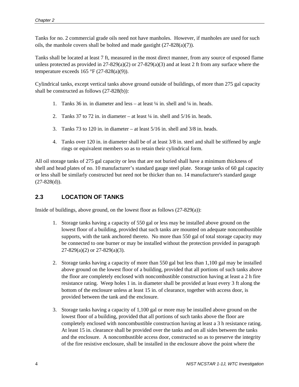Tanks for no. 2 commercial grade oils need not have manholes. However, if manholes are used for such oils, the manhole covers shall be bolted and made gastight  $(27-828(a)(7))$ .

Tanks shall be located at least 7 ft, measured in the most direct manner, from any source of exposed flame unless protected as provided in 27-829(a)(2) or 27-829(a)(3) and at least 2 ft from any surface where the temperature exceeds 165 °F (27-828(a)(9)).

Cylindrical tanks, except vertical tanks above ground outside of buildings, of more than 275 gal capacity shall be constructed as follows (27-828(b)):

- 1. Tanks 36 in. in diameter and less at least  $\frac{1}{4}$  in. shell and  $\frac{1}{4}$  in. heads.
- 2. Tanks 37 to 72 in. in diameter at least  $\frac{1}{4}$  in. shell and  $\frac{5}{16}$  in. heads.
- 3. Tanks 73 to 120 in. in diameter at least 5/16 in. shell and 3/8 in. heads.
- 4. Tanks over 120 in. in diameter shall be of at least 3/8 in. steel and shall be stiffened by angle rings or equivalent members so as to retain their cylindrical form.

All oil storage tanks of 275 gal capacity or less that are not buried shall have a minimum thickness of shell and head plates of no. 10 manufacturer's standard gauge steel plate. Storage tanks of 60 gal capacity or less shall be similarly constructed but need not be thicker than no. 14 manufacturer's standard gauge  $(27-828(d)).$ 

#### **2.3 LOCATION OF TANKS**

Inside of buildings, above ground, on the lowest floor as follows (27-829(a)):

- 1. Storage tanks having a capacity of 550 gal or less may be installed above ground on the lowest floor of a building, provided that such tanks are mounted on adequate noncombustible supports, with the tank anchored thereto. No more than 550 gal of total storage capacity may be connected to one burner or may be installed without the protection provided in paragraph 27-829(a)(2) or 27-829(a)(3).
- 2. Storage tanks having a capacity of more than 550 gal but less than 1,100 gal may be installed above ground on the lowest floor of a building, provided that all portions of such tanks above the floor are completely enclosed with noncombustible construction having at least a 2 h fire resistance rating. Weep holes 1 in. in diameter shall be provided at least every 3 ft along the bottom of the enclosure unless at least 15 in. of clearance, together with access door, is provided between the tank and the enclosure.
- 3. Storage tanks having a capacity of 1,100 gal or more may be installed above ground on the lowest floor of a building, provided that all portions of such tanks above the floor are completely enclosed with noncombustible construction having at least a 3 h resistance rating. At least 15 in. clearance shall be provided over the tanks and on all sides between the tanks and the enclosure. A noncombustible access door, constructed so as to preserve the integrity of the fire resistive enclosure, shall be installed in the enclosure above the point where the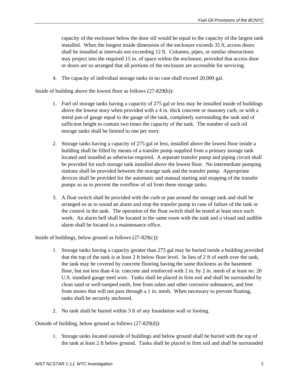capacity of the enclosure below the door sill would be equal to the capacity of the largest tank installed. When the longest inside dimension of the enclosure exceeds 35 ft, access doors shall be installed at intervals not exceeding 12 ft. Columns, pipes, or similar obstructions may project into the required 15 in. of space within the enclosure, provided that access door or doors are so arranged that all portions of the enclosure are accessible for servicing.

4. The capacity of individual storage tanks in no case shall exceed 20,000 gal.

Inside of building above the lowest floor as follows (27-829(b)):

- 1. Fuel oil storage tanks having a capacity of 275 gal or less may be installed inside of buildings above the lowest story when provided with a 4 in. thick concrete or masonry curb, or with a metal pan of gauge equal to the gauge of the tank, completely surrounding the tank and of sufficient height to contain two times the capacity of the tank. The number of such oil storage tanks shall be limited to one per story.
- 2. Storage tanks having a capacity of 275 gal or less, installed above the lowest floor inside a building shall be filled by means of a transfer pump supplied from a primary storage tank located and installed as otherwise required. A separate transfer pump and piping circuit shall be provided for each storage tank installed above the lowest floor. No intermediate pumping stations shall be provided between the storage tank and the transfer pump. Appropriate devices shall be provided for the automatic and manual starting and stopping of the transfer pumps so as to prevent the overflow of oil from these storage tanks.
- 3. A float switch shall be provided with the curb or pan around the storage tank and shall be arranged so as to sound an alarm and stop the transfer pump in case of failure of the tank or the control in the tank. The operation of the float switch shall be tested at least once each week. An alarm bell shall be located in the same room with the tank and a visual and audible alarm shall be located in a maintenance office.

Inside of buildings, below ground as follows (27-829(c)):

- 1. Storage tanks having a capacity greater than 275 gal may be buried inside a building provided that the top of the tank is at least 2 ft below floor level. In lieu of 2 ft of earth over the tank, the tank may be covered by concrete flooring having the same thickness as the basement floor, but not less than 4 in. concrete and reinforced with 2 in. by 2 in. mesh of at least no. 20 U.S. standard gauge steel wire. Tanks shall be placed in firm soil and shall be surrounded by clean sand or well-tamped earth, free from ashes and other corrosive substances, and free from stones that will not pass through a 1 in. mesh. When necessary to prevent floating, tanks shall be securely anchored.
- 2. No tank shall be buried within 3 ft of any foundation wall or footing.

Outside of building, below ground as follows (27-829(d)):

1. Storage tanks located outside of buildings and below ground shall be buried with the top of the tank at least 2 ft below ground. Tanks shall be placed in firm soil and shall be surrounded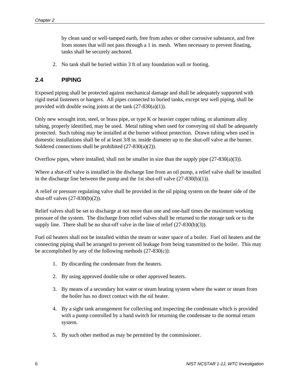by clean sand or well-tamped earth, free from ashes or other corrosive substance, and free from stones that will not pass through a 1 in. mesh. When necessary to prevent floating, tanks shall be securely anchored.

2. No tank shall be buried within 3 ft of any foundation wall or footing.

#### **2.4 PIPING**

Exposed piping shall be protected against mechanical damage and shall be adequately supported with rigid metal fasteners or hangers. All pipes connected to buried tanks, except test well piping, shall be provided with double swing joints at the tank (27-830(a)(1)).

Only new wrought iron, steel, or brass pipe, or type K or heavier copper tubing, or aluminum alloy tubing, properly identified, may be used. Metal tubing when used for conveying oil shall be adequately protected. Such tubing may be installed at the burner without protection. Drawn tubing when used in domestic installations shall be of at least 3/8 in. inside diameter up to the shut-off valve at the burner. Soldered connections shall be prohibited  $(27-830(a)(2))$ .

Overflow pipes, where installed, shall not be smaller in size than the supply pipe  $(27-830(a)(3))$ .

Where a shut-off valve is installed in the discharge line from an oil pump, a relief valve shall be installed in the discharge line between the pump and the 1st shut-off valve  $(27-830(b)(1))$ .

A relief or pressure regulating valve shall be provided in the oil piping system on the heater side of the shut-off valves (27-830(b)(2)).

Relief valves shall be set to discharge at not more than one and one-half times the maximum working pressure of the system. The discharge from relief valves shall be returned to the storage tank or to the supply line. There shall be no shut-off valve in the line of relief  $(27-830(b)(3))$ .

Fuel oil heaters shall not be installed within the steam or water space of a boiler. Fuel oil heaters and the connecting piping shall be arranged to prevent oil leakage from being transmitted to the boiler. This may be accomplished by any of the following methods (27-830(c)):

- 1. By discarding the condensate from the heaters.
- 2. By using approved double tube or other approved heaters.
- 3. By means of a secondary hot water or steam heating system where the water or steam from the boiler has no direct contact with the oil heater.
- 4. By a sight tank arrangement for collecting and inspecting the condensate which is provided with a pump controlled by a hand switch for returning the condensate to the normal return system.
- 5. By such other method as may be permitted by the commissioner.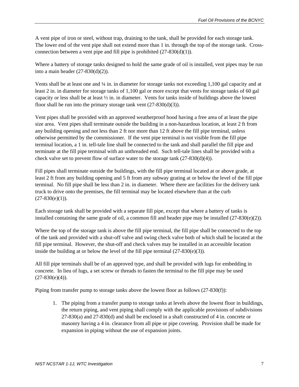A vent pipe of iron or steel, without trap, draining to the tank, shall be provided for each storage tank. The lower end of the vent pipe shall not extend more than 1 in. through the top of the storage tank. Crossconnection between a vent pipe and fill pipe is prohibited  $(27-830(d)(1))$ .

Where a battery of storage tanks designed to hold the same grade of oil is installed, vent pipes may be run into a main header (27-830(d)(2)).

Vents shall be at least one and ¼ in. in diameter for storage tanks not exceeding 1,100 gal capacity and at least 2 in. in diameter for storage tanks of 1,100 gal or more except that vents for storage tanks of 60 gal capacity or less shall be at least  $\frac{1}{2}$  in. in diameter. Vents for tanks inside of buildings above the lowest floor shall be run into the primary storage tank vent  $(27-830(d)(3))$ .

Vent pipes shall be provided with an approved weatherproof hood having a free area of at least the pipe size area. Vent pipes shall terminate outside the building in a non-hazardous location, at least 2 ft from any building opening and not less than 2 ft nor more than 12 ft above the fill pipe terminal, unless otherwise permitted by the commissioner. If the vent pipe terminal is not visible from the fill pipe terminal location, a 1 in. tell-tale line shall be connected to the tank and shall parallel the fill pipe and terminate at the fill pipe terminal with an unthreaded end. Such tell-tale lines shall be provided with a check valve set to prevent flow of surface water to the storage tank (27-830(d)(4)).

Fill pipes shall terminate outside the buildings, with the fill pipe terminal located at or above grade, at least 2 ft from any building opening and 5 ft from any subway grating at or below the level of the fill pipe terminal. No fill pipe shall be less than 2 in. in diameter. Where there are facilities for the delivery tank truck to drive onto the premises, the fill terminal may be located elsewhere than at the curb  $(27-830(e)(1)).$ 

Each storage tank shall be provided with a separate fill pipe, except that where a battery of tanks is installed containing the same grade of oil, a common fill and header pipe may be installed  $(27-830(e)(2))$ .

Where the top of the storage tank is above the fill pipe terminal, the fill pipe shall be connected to the top of the tank and provided with a shut-off valve and swing check valve both of which shall be located at the fill pipe terminal. However, the shut-off and check valves may be installed in an accessible location inside the building at or below the level of the fill pipe terminal  $(27-830(e)(3))$ .

All fill pipe terminals shall be of an approved type, and shall be provided with lugs for embedding in concrete. In lieu of lugs, a set screw or threads to fasten the terminal to the fill pipe may be used  $(27-830(e)(4)).$ 

Piping from transfer pump to storage tanks above the lowest floor as follows (27-830(f)):

1. The piping from a transfer pump to storage tanks at levels above the lowest floor in buildings, the return piping, and vent piping shall comply with the applicable provisions of subdivisions  $27-830(a)$  and  $27-830(d)$  and shall be enclosed in a shaft constructed of 4 in. concrete or masonry having a 4 in. clearance from all pipe or pipe covering. Provision shall be made for expansion in piping without the use of expansion joints.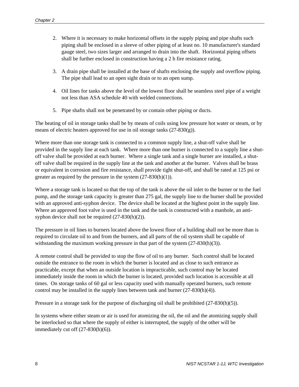- 2. Where it is necessary to make horizontal offsets in the supply piping and pipe shafts such piping shall be enclosed in a sleeve of other piping of at least no. 10 manufacturer's standard gauge steel, two sizes larger and arranged to drain into the shaft. Horizontal piping offsets shall be further enclosed in construction having a 2 h fire resistance rating.
- 3. A drain pipe shall be installed at the base of shafts enclosing the supply and overflow piping. The pipe shall lead to an open sight drain or to an open sump.
- 4. Oil lines for tanks above the level of the lowest floor shall be seamless steel pipe of a weight not less than ASA schedule 40 with welded connections.
- 5. Pipe shafts shall not be penetrated by or contain other piping or ducts.

The heating of oil in storage tanks shall be by means of coils using low pressure hot water or steam, or by means of electric heaters approved for use in oil storage tanks  $(27-830(g))$ .

Where more than one storage tank is connected to a common supply line, a shut-off valve shall be provided in the supply line at each tank. Where more than one burner is connected to a supply line a shutoff valve shall be provided at each burner. Where a single tank and a single burner are installed, a shutoff valve shall be required in the supply line at the tank and another at the burner. Valves shall be brass or equivalent in corrosion and fire resistance, shall provide tight shut-off, and shall be rated at 125 psi or greater as required by the pressure in the system (27-830(h)(1)).

Where a storage tank is located so that the top of the tank is above the oil inlet to the burner or to the fuel pump, and the storage tank capacity is greater than 275 gal, the supply line to the burner shall be provided with an approved anti-syphon device. The device shall be located at the highest point in the supply line. Where an approved foot valve is used in the tank and the tank is constructed with a manhole, an antisyphon device shall not be required (27-830(h)(2)).

The pressure in oil lines to burners located above the lowest floor of a building shall not be more than is required to circulate oil to and from the burners, and all parts of the oil system shall be capable of withstanding the maximum working pressure in that part of the system  $(27-830(h)(3))$ .

A remote control shall be provided to stop the flow of oil to any burner. Such control shall be located outside the entrance to the room in which the burner is located and as close to such entrance as practicable, except that when an outside location is impracticable, such control may be located immediately inside the room in which the burner is located, provided such location is accessible at all times. On storage tanks of 60 gal or less capacity used with manually operated burners, such remote control may be installed in the supply lines between tank and burner (27-830(h)(4)).

Pressure in a storage tank for the purpose of discharging oil shall be prohibited (27-830(h)(5)).

In systems where either steam or air is used for atomizing the oil, the oil and the atomizing supply shall be interlocked so that where the supply of either is interrupted, the supply of the other will be immediately cut off  $(27-830(h)(6))$ .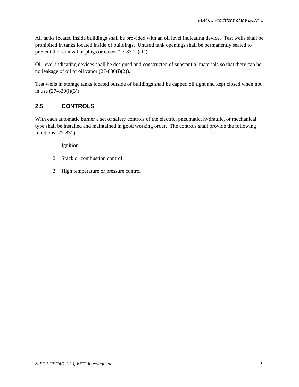All tanks located inside buildings shall be provided with an oil level indicating device. Test wells shall be prohibited in tanks located inside of buildings. Unused tank openings shall be permanently sealed to prevent the removal of plugs or cover  $(27-830(i)(1))$ .

Oil level indicating devices shall be designed and constructed of substantial materials so that there can be no leakage of oil or oil vapor (27-830(i)(2)).

Test wells in storage tanks located outside of buildings shall be capped oil tight and kept closed when not in use  $(27-830(i)(3))$ .

## **2.5 CONTROLS**

With each automatic burner a set of safety controls of the electric, pneumatic, hydraulic, or mechanical type shall be installed and maintained in good working order. The controls shall provide the following functions (27-831):

- 1. Ignition
- 2. Stack or combustion control
- 3. High temperature or pressure control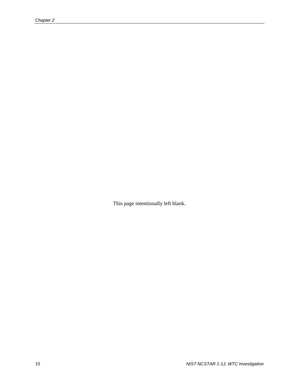This page intentionally left blank.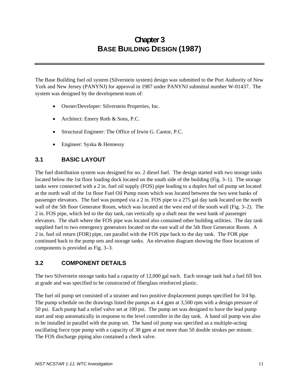## **Chapter 3 BASE BUILDING DESIGN (1987)**

The Base Building fuel oil system (Silverstein system) design was submitted to the Port Authority of New York and New Jersey (PANYNJ) for approval in 1987 under PANYNJ submittal number W-01437. The system was designed by the development team of:

- Owner/Developer: Silverstein Properties, Inc.
- Architect: Emery Roth & Sons, P.C.
- Structural Engineer: The Office of Irwin G. Cantor, P.C.
- Engineer: Syska & Hennessy

#### **3.1 BASIC LAYOUT**

The fuel distribution system was designed for no. 2 diesel fuel. The design started with two storage tanks located below the 1st floor loading dock located on the south side of the building (Fig. 3–1). The storage tanks were connected with a 2 in. fuel oil supply (FOS) pipe leading to a duplex fuel oil pump set located at the north wall of the 1st floor Fuel Oil Pump room which was located between the two west banks of passenger elevators. The fuel was pumped via a 2 in. FOS pipe to a 275 gal day tank located on the north wall of the 5th floor Generator Room, which was located at the west end of the south wall (Fig. 3–2). The 2 in. FOS pipe, which led to the day tank, ran vertically up a shaft near the west bank of passenger elevators. The shaft where the FOS pipe was located also contained other building utilities. The day tank supplied fuel to two emergency generators located on the east wall of the 5th floor Generator Room. A 2 in. fuel oil return (FOR) pipe, ran parallel with the FOS pipe back to the day tank. The FOR pipe continued back to the pump sets and storage tanks. An elevation diagram showing the floor locations of components is provided as Fig. 3–3.

#### **3.2 COMPONENT DETAILS**

The two Silverstein storage tanks had a capacity of 12,000 gal each. Each storage tank had a fuel fill box at grade and was specified to be constructed of fiberglass reinforced plastic.

The fuel oil pump set consisted of a strainer and two positive displacement pumps specified for 3/4 hp. The pump schedule on the drawings listed the pumps as 4.4 gpm at 3,500 rpm with a design pressure of 50 psi. Each pump had a relief valve set at 100 psi. The pump set was designed to have the lead pump start and stop automatically in response to the level controller in the day tank. A hand oil pump was also to be installed in parallel with the pump set. The hand oil pump was specified as a multiple-acting oscillating force type pump with a capacity of 30 gpm at not more than 50 double strokes per minute. The FOS discharge piping also contained a check valve.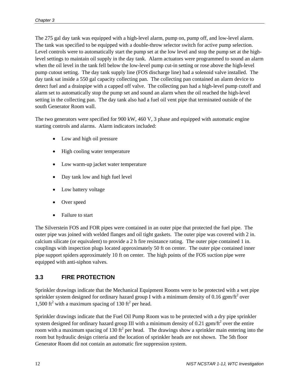The 275 gal day tank was equipped with a high-level alarm, pump on, pump off, and low-level alarm. The tank was specified to be equipped with a double-throw selector switch for active pump selection. Level controls were to automatically start the pump set at the low level and stop the pump set at the highlevel settings to maintain oil supply in the day tank. Alarm actuators were programmed to sound an alarm when the oil level in the tank fell below the low-level pump cut-in setting or rose above the high-level pump cutout setting. The day tank supply line (FOS discharge line) had a solenoid valve installed. The day tank sat inside a 550 gal capacity collecting pan. The collecting pan contained an alarm device to detect fuel and a drainpipe with a capped off valve. The collecting pan had a high-level pump cutoff and alarm set to automatically stop the pump set and sound an alarm when the oil reached the high-level setting in the collecting pan. The day tank also had a fuel oil vent pipe that terminated outside of the south Generator Room wall.

The two generators were specified for 900 kW, 460 V, 3 phase and equipped with automatic engine starting controls and alarms. Alarm indicators included:

- Low and high oil pressure
- High cooling water temperature
- Low warm-up jacket water temperature
- Day tank low and high fuel level
- Low battery voltage
- Over speed
- Failure to start

The Silverstein FOS and FOR pipes were contained in an outer pipe that protected the fuel pipe. The outer pipe was joined with welded flanges and oil tight gaskets. The outer pipe was covered with 2 in. calcium silicate (or equivalent) to provide a 2 h fire resistance rating. The outer pipe contained 1 in. couplings with inspection plugs located approximately 50 ft on center. The outer pipe contained inner pipe support spiders approximately 10 ft on center. The high points of the FOS suction pipe were equipped with anti-siphon valves.

## **3.3 FIRE PROTECTION**

Sprinkler drawings indicate that the Mechanical Equipment Rooms were to be protected with a wet pipe sprinkler system designed for ordinary hazard group I with a minimum density of 0.16 gpm/ft<sup>2</sup> over 1,500 ft<sup>2</sup> with a maximum spacing of 130 ft<sup>2</sup> per head.

Sprinkler drawings indicate that the Fuel Oil Pump Room was to be protected with a dry pipe sprinkler system designed for ordinary hazard group III with a minimum density of 0.21 gpm/ft<sup>2</sup> over the entire room with a maximum spacing of 130 ft<sup>2</sup> per head. The drawings show a sprinkler main entering into the room but hydraulic design criteria and the location of sprinkler heads are not shown. The 5th floor Generator Room did not contain an automatic fire suppression system.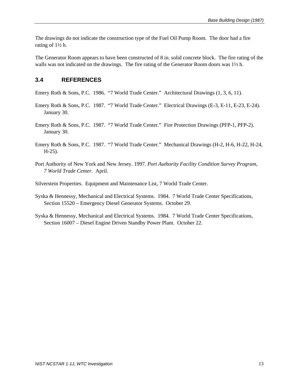The drawings do not indicate the construction type of the Fuel Oil Pump Room. The door had a fire rating of 1½ h.

The Generator Room appears to have been constructed of 8 in. solid concrete block. The fire rating of the walls was not indicated on the drawings. The fire rating of the Generator Room doors was 1½ h.

#### **3.4 REFERENCES**

Emery Roth & Sons, P.C. 1986. "7 World Trade Center." Architectural Drawings (1, 3, 6, 11).

- Emery Roth & Sons, P.C. 1987. "7 World Trade Center." Electrical Drawings (E-3, E-11, E-23, E-24). January 30.
- Emery Roth & Sons, P.C. 1987. "7 World Trade Center." Fire Protection Drawings (PFP-1, PFP-2). January 30.
- Emery Roth & Sons, P.C. 1987. "7 World Trade Center." Mechanical Drawings (H-2, H-6, H-22, H-24, H-25).
- Port Authority of New York and New Jersey. 1997. *Port Authority Facility Condition Survey Program, 7 World Trade Center*. April.

Silverstein Properties. Equipment and Maintenance List, 7 World Trade Center.

- Syska & Hennessy, Mechanical and Electrical Systems. 1984. 7 World Trade Center Specifications, Section 15520 – Emergency Diesel Generator Systems. October 29.
- Syska & Hennessy, Mechanical and Electrical Systems. 1984. 7 World Trade Center Specifications, Section 16007 – Diesel Engine Driven Standby Power Plant. October 22.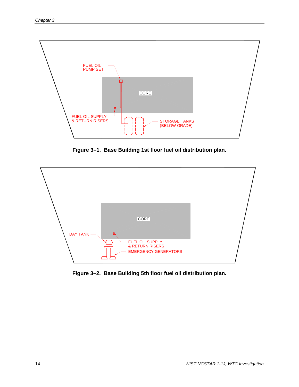

**Figure 3–1. Base Building 1st floor fuel oil distribution plan.** 



**Figure 3–2. Base Building 5th floor fuel oil distribution plan.**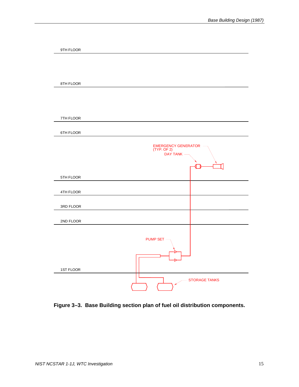

**Figure 3–3. Base Building section plan of fuel oil distribution components.**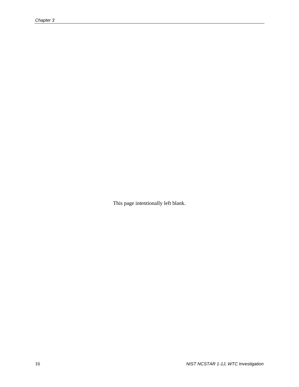This page intentionally left blank.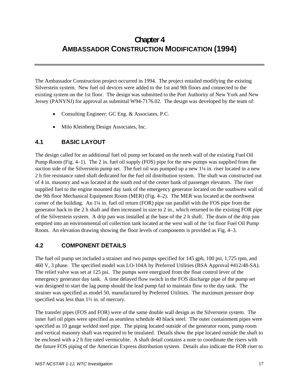# **Chapter 4 AMBASSADOR CONSTRUCTION MODIFICATION (1994)**

The Ambassador Construction project occurred in 1994. The project entailed modifying the existing Silverstein system. New fuel oil devices were added to the 1st and 9th floors and connected to the existing system on the 1st floor. The design was submitted to the Port Authority of New York and New Jersey (PANYNJ) for approval as submittal W94-7176.02. The design was developed by the team of:

- Consulting Engineer: GC Eng. & Associates, P.C.
- Milo Kleinberg Design Associates, Inc.

### **4.1 BASIC LAYOUT**

The design called for an additional fuel oil pump set located on the north wall of the existing Fuel Oil Pump Room (Fig. 4–1). The 2 in. fuel oil supply (FOS) pipe for the new pumps was supplied from the suction side of the Silverstein pump set. The fuel oil was pumped up a new 1¼ in. riser located in a new 2 h fire resistance rated shaft dedicated for the fuel oil distribution system. The shaft was constructed out of 4 in. masonry and was located at the south end of the center bank of passenger elevators. The riser supplied fuel to the engine mounted day tank of the emergency generator located on the southwest wall of the 9th floor Mechanical Equipment Room (MER) (Fig. 4–2). The MER was located at the northwest corner of the building. An 1¼ in. fuel oil return (FOR) pipe ran parallel with the FOS pipe from the generator back to the 2 h shaft and then increased in size to 2 in., which returned to the existing FOR pipe of the Silverstein system. A drip pan was installed at the base of the 2 h shaft. The drain of the drip pan emptied into an environmental oil collection tank located at the west wall of the 1st floor Fuel Oil Pump Room. An elevation drawing showing the floor levels of components is provided as Fig. 4–3.

### **4.2 COMPONENT DETAILS**

The fuel oil pump set included a strainer and two pumps specified for 145 gph, 100 psi, 1,725 rpm, and 460 V, 3 phase. The specified model was LO-104A by Preferred Utilities (BSA Approval #412/48-SA). The relief valve was set at 125 psi. The pumps were energized from the float control lever of the emergency generator day tank. A time delayed flow switch in the FOS discharge pipe of the pump set was designed to start the lag pump should the lead pump fail to maintain flow to the day tank. The strainer was specified as model 50, manufactured by Preferred Utilities. The maximum pressure drop specified was less than  $1\frac{1}{2}$  in. of mercury.

The transfer pipes (FOS and FOR) were of the same double wall design as the Silverstein system. The inner fuel oil pipes were specified as seamless schedule 40 black steel. The outer containment pipes were specified as 10 gauge welded steel pipe. The piping located outside of the generator room, pump room and vertical masonry shaft was required to be insulated. Details show the pipe located outside the shaft to be enclosed with a 2 h fire rated vermiculite. A shaft detail contains a note to coordinate the risers with the future FOS piping of the American Express distribution system. Details also indicate the FOR riser to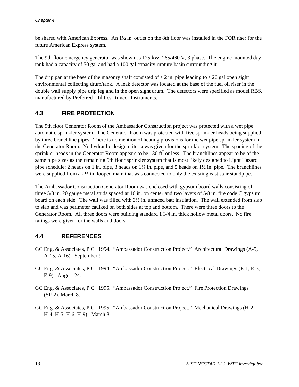be shared with American Express. An 1½ in. outlet on the 8th floor was installed in the FOR riser for the future American Express system.

The 9th floor emergency generator was shown as 125 kW, 265/460 V, 3 phase. The engine mounted day tank had a capacity of 50 gal and had a 100 gal capacity rupture basin surrounding it.

The drip pan at the base of the masonry shaft consisted of a 2 in. pipe leading to a 20 gal open sight environmental collecting drum/tank. A leak detector was located at the base of the fuel oil riser in the double wall supply pipe drip leg and in the open sight drum. The detectors were specified as model RBS, manufactured by Preferred Utilities-Rimcor Instruments.

### **4.3 FIRE PROTECTION**

The 9th floor Generator Room of the Ambassador Construction project was protected with a wet pipe automatic sprinkler system. The Generator Room was protected with five sprinkler heads being supplied by three branchline pipes. There is no mention of heating provisions for the wet pipe sprinkler system in the Generator Room. No hydraulic design criteria was given for the sprinkler system. The spacing of the sprinkler heads in the Generator Room appears to be 130 ft<sup>2</sup> or less. The branchlines appear to be of the same pipe sizes as the remaining 9th floor sprinkler system that is most likely designed to Light Hazard pipe schedule: 2 heads on 1 in. pipe, 3 heads on 1¼ in. pipe, and 5 heads on 1½ in. pipe. The branchlines were supplied from a 2½ in. looped main that was connected to only the existing east stair standpipe.

The Ambassador Construction Generator Room was enclosed with gypsum board walls consisting of three 5/8 in. 20 gauge metal studs spaced at 16 in. on center and two layers of 5/8 in. fire code C gypsum board on each side. The wall was filled with 3½ in. unfaced batt insulation. The wall extended from slab to slab and was perimeter caulked on both sides at top and bottom. There were three doors to the Generator Room. All three doors were building standard 1 3/4 in. thick hollow metal doors. No fire ratings were given for the walls and doors.

#### **4.4 REFERENCES**

- GC Eng. & Associates, P.C. 1994. "Ambassador Construction Project." Architectural Drawings (A-5, A-15, A-16). September 9.
- GC Eng. & Associates, P.C. 1994. "Ambassador Construction Project." Electrical Drawings (E-1, E-3, E-9). August 24.
- GC Eng. & Associates, P.C. 1995. "Ambassador Construction Project." Fire Protection Drawings (SP-2). March 8.
- GC Eng. & Associates, P.C. 1995. "Ambassador Construction Project." Mechanical Drawings (H-2, H-4, H-5, H-6, H-9). March 8.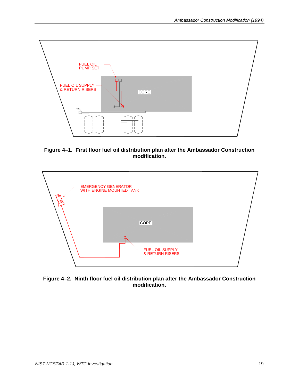

**Figure 4–1. First floor fuel oil distribution plan after the Ambassador Construction modification.** 



**Figure 4–2. Ninth floor fuel oil distribution plan after the Ambassador Construction modification.**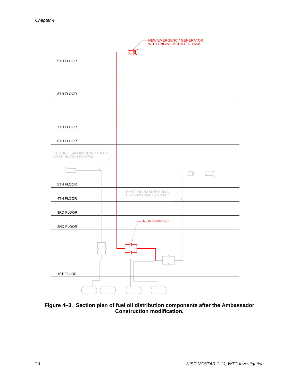

**Figure 4–3. Section plan of fuel oil distribution components after the Ambassador Construction modification.**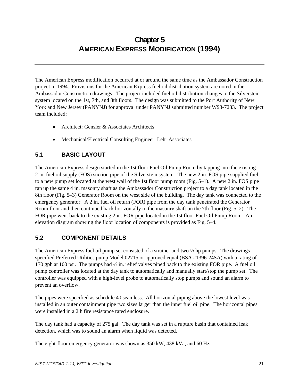# **Chapter 5 AMERICAN EXPRESS MODIFICATION (1994)**

The American Express modification occurred at or around the same time as the Ambassador Construction project in 1994. Provisions for the American Express fuel oil distribution system are noted in the Ambassador Construction drawings. The project included fuel oil distribution changes to the Silverstein system located on the 1st, 7th, and 8th floors. The design was submitted to the Port Authority of New York and New Jersey (PANYNJ) for approval under PANYNJ submitted number W93-7233. The project team included:

- Architect: Gensler & Associates Architects
- Mechanical/Electrical Consulting Engineer: Lehr Associates

### **5.1 BASIC LAYOUT**

The American Express design started in the 1st floor Fuel Oil Pump Room by tapping into the existing 2 in. fuel oil supply (FOS) suction pipe of the Silverstein system. The new 2 in. FOS pipe supplied fuel to a new pump set located at the west wall of the 1st floor pump room (Fig. 5–1). A new 2 in. FOS pipe ran up the same 4 in. masonry shaft as the Ambassador Construction project to a day tank located in the 8th floor (Fig. 5–3) Generator Room on the west side of the building. The day tank was connected to the emergency generator. A 2 in. fuel oil return (FOR) pipe from the day tank penetrated the Generator Room floor and then continued back horizontally to the masonry shaft on the 7th floor (Fig. 5–2). The FOR pipe went back to the existing 2 in. FOR pipe located in the 1st floor Fuel Oil Pump Room. An elevation diagram showing the floor location of components is provided as Fig. 5–4.

### **5.2 COMPONENT DETAILS**

The American Express fuel oil pump set consisted of a strainer and two  $\frac{1}{2}$  hp pumps. The drawings specified Preferred Utilities pump Model 02715 or approved equal (BSA #1396-24SA) with a rating of 170 gph at 100 psi. The pumps had ½ in. relief valves piped back to the existing FOR pipe. A fuel oil pump controller was located at the day tank to automatically and manually start/stop the pump set. The controller was equipped with a high-level probe to automatically stop pumps and sound an alarm to prevent an overflow.

The pipes were specified as schedule 40 seamless. All horizontal piping above the lowest level was installed in an outer containment pipe two sizes larger than the inner fuel oil pipe. The horizontal pipes were installed in a 2 h fire resistance rated enclosure.

The day tank had a capacity of 275 gal. The day tank was set in a rupture basin that contained leak detection, which was to sound an alarm when liquid was detected.

The eight-floor emergency generator was shown as 350 kW, 438 kVa, and 60 Hz.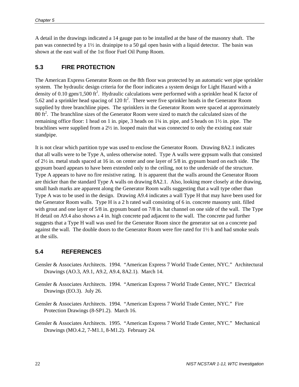A detail in the drawings indicated a 14 gauge pan to be installed at the base of the masonry shaft. The pan was connected by a 1½ in. drainpipe to a 50 gal open basin with a liquid detector. The basin was shown at the east wall of the 1st floor Fuel Oil Pump Room.

### **5.3 FIRE PROTECTION**

The American Express Generator Room on the 8th floor was protected by an automatic wet pipe sprinkler system. The hydraulic design criteria for the floor indicates a system design for Light Hazard with a density of 0.10 gpm/1,500 ft<sup>2</sup>. Hydraulic calculations were performed with a sprinkler head K factor of 5.62 and a sprinkler head spacing of 120 ft<sup>2</sup>. There were five sprinkler heads in the Generator Room supplied by three branchline pipes. The sprinklers in the Generator Room were spaced at approximately  $80 \text{ ft}^2$ . The branchline sizes of the Generator Room were sized to match the calculated sizes of the remaining office floor: 1 head on 1 in. pipe, 3 heads on 1¼ in. pipe, and 5 heads on 1½ in. pipe. The brachlines were supplied from a  $2\frac{1}{2}$  in. looped main that was connected to only the existing east stair standpipe.

It is not clear which partition type was used to enclose the Generator Room. Drawing 8A2.1 indicates that all walls were to be Type A, unless otherwise noted. Type A walls were gypsum walls that consisted of 2½ in. metal studs spaced at 16 in. on center and one layer of 5/8 in. gypsum board on each side. The gypsum board appears to have been extended only to the ceiling, not to the underside of the structure. Type A appears to have no fire resistive rating. It is apparent that the walls around the Generator Room are thicker than the standard Type A walls on drawing 8A2.1. Also, looking more closely at the drawing, small hash marks are apparent along the Generator Room walls suggesting that a wall type other than Type A was to be used in the design. Drawing A9.4 indicates a wall Type H that may have been used for the Generator Room walls. Type H is a 2 h rated wall consisting of 6 in. concrete masonry unit. filled with grout and one layer of 5/8 in. gypsum board on 7/8 in. hat channel on one side of the wall. The Type H detail on A9.4 also shows a 4 in. high concrete pad adjacent to the wall. The concrete pad further suggests that a Type H wall was used for the Generator Room since the generator sat on a concrete pad against the wall. The double doors to the Generator Room were fire rated for  $1\frac{1}{2}$  h and had smoke seals at the sills.

### **5.4 REFERENCES**

- Gensler & Associates Architects. 1994. "American Express 7 World Trade Center, NYC." Architectural Drawings (AO.3, A9.1, A9.2, A9.4, 8A2.1). March 14.
- Gensler & Associates Architects. 1994. "American Express 7 World Trade Center, NYC." Electrical Drawings (EO.3). July 26.
- Gensler & Associates Architects. 1994. "American Express 7 World Trade Center, NYC." Fire Protection Drawings (8-SP1.2). March 16.
- Gensler & Associates Architects. 1995. "American Express 7 World Trade Center, NYC." Mechanical Drawings (MO.4.2, 7-M1.1, 8-M1.2). February 24.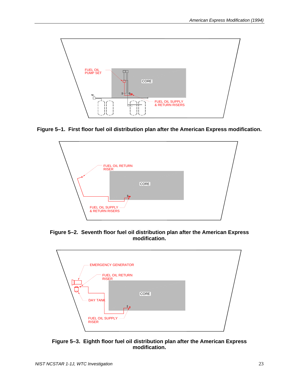

**Figure 5–1. First floor fuel oil distribution plan after the American Express modification.** 



**Figure 5–2. Seventh floor fuel oil distribution plan after the American Express modification.** 



**Figure 5–3. Eighth floor fuel oil distribution plan after the American Express modification.**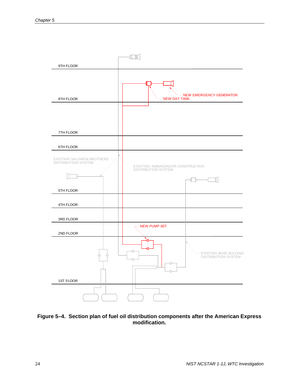

**Figure 5–4. Section plan of fuel oil distribution components after the American Express modification.**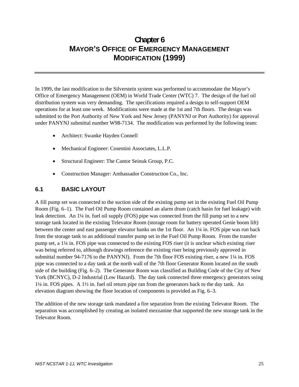## **Chapter 6 MAYOR'S OFFICE OF EMERGENCY MANAGEMENT MODIFICATION (1999)**

In 1999, the last modification to the Silverstein system was performed to accommodate the Mayor's Office of Emergency Management (OEM) in World Trade Center (WTC) 7. The design of the fuel oil distribution system was very demanding. The specifications required a design to self-support OEM operations for at least one week. Modifications were made at the 1st and 7th floors. The design was submitted to the Port Authority of New York and New Jersey (PANYNJ or Port Authority) for approval under PANYNJ submittal number W98-7134. The modification was performed by the following team:

- Architect: Swanke Hayden Connell
- Mechanical Engineer: Cosentini Associates, L.L.P.
- Structural Engineer: The Cantor Seinuk Group, P.C.
- Construction Manager: Ambassador Construction Co., Inc.

#### **6.1 BASIC LAYOUT**

A fill pump set was connected to the suction side of the existing pump set in the existing Fuel Oil Pump Room (Fig. 6–1). The Fuel Oil Pump Room contained an alarm drum (catch basin for fuel leakage) with leak detection. An 1¼ in. fuel oil supply (FOS) pipe was connected from the fill pump set to a new storage tank located in the existing Televator Room (storage room for battery operated Genie boom lift) between the center and east passenger elevator banks on the 1st floor. An 1¼ in. FOS pipe was run back from the storage tank to an additional transfer pump set in the Fuel Oil Pump Room. From the transfer pump set, a 1¼ in. FOS pipe was connected to the existing FOS riser (it is unclear which existing riser was being referred to, although drawings reference the existing riser being previously approved in submittal number 94-7176 to the PANYNJ). From the 7th floor FOS existing riser, a new 1¼ in. FOS pipe was connected to a day tank at the north wall of the 7th floor Generator Room located on the south side of the building (Fig. 6–2). The Generator Room was classified as Building Code of the City of New York (BCNYC), D-2 Industrial (Low Hazard). The day tank connected three emergency generators using 1¼ in. FOS pipes. A 1½ in. fuel oil return pipe ran from the generators back to the day tank. An elevation diagram showing the floor location of components is provided as Fig. 6–3.

The addition of the new storage tank mandated a fire separation from the existing Televator Room. The separation was accomplished by creating an isolated mezzanine that supported the new storage tank in the Televator Room.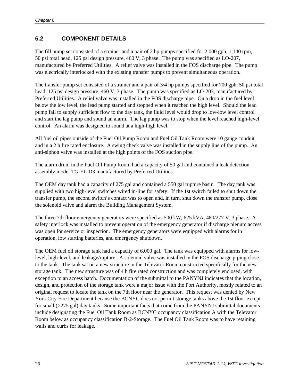### **6.2 COMPONENT DETAILS**

The fill pump set consisted of a strainer and a pair of 2 hp pumps specified for 2,000 gph, 1,140 rpm, 50 psi total head, 125 psi design pressure, 460 V, 3 phase. The pump was specified as LO-207, manufactured by Preferred Utilities. A relief valve was installed in the FOS discharge pipe. The pump was electrically interlocked with the existing transfer pumps to prevent simultaneous operation.

The transfer pump set consisted of a strainer and a pair of 3/4 hp pumps specified for 700 gph, 50 psi total head, 125 psi design pressure, 460 V, 3 phase. The pump was specified as LO-203, manufactured by Preferred Utilities. A relief valve was installed in the FOS discharge pipe. On a drop in the fuel level below the low level, the lead pump started and stopped when it reached the high level. Should the lead pump fail to supply sufficient flow to the day tank, the fluid level would drop to low-low level control and start the lag pump and sound an alarm. The lag pump was to stop when the level reached high-level control. An alarm was designed to sound at a high-high level.

All fuel oil pipes outside of the Fuel Oil Pump Room and Fuel Oil Tank Room were 10 gauge conduit and in a 2 h fire rated enclosure. A swing check valve was installed in the supply line of the pump. An anti-siphon valve was installed at the high points of the FOS suction pipe.

The alarm drum in the Fuel Oil Pump Room had a capacity of 50 gal and contained a leak detection assembly model TG-EL-D3 manufactured by Preferred Utilities.

The OEM day tank had a capacity of 275 gal and contained a 550 gal rupture basin. The day tank was supplied with two high-level switches wired in-line for safety. If the 1st switch failed to shut down the transfer pump, the second switch's contact was to open and, in turn, shut down the transfer pump, close the solenoid valve and alarm the Building Management System.

The three 7th floor emergency generators were specified as 500 kW, 625 kVA, 480/277 V, 3 phase. A safety interlock was installed to prevent operation of the emergency generator if discharge plenum access was open for service or inspection. The emergency generators were equipped with alarms for in operation, low starting batteries, and emergency shutdown.

The OEM fuel oil storage tank had a capacity of 6,000 gal. The tank was equipped with alarms for lowlevel, high-level, and leakage/rupture. A solenoid valve was installed in the FOS discharge piping close to the tank. The tank sat on a new structure in the Televator Room constructed specifically for the new storage tank. The new structure was of 4 h fire rated construction and was completely enclosed, with exception to an access hatch. Documentation of the submittal to the PANYNJ indicates that the location, design, and protection of the storage tank were a major issue with the Port Authority, mostly related to an original request to locate the tank on the 7th floor near the generator. This request was denied by New York City Fire Department because the BCNYC does not permit storage tanks above the 1st floor except for small (>275 gal) day tanks. Some important facts that come from the PANYNJ submittal documents include designating the Fuel Oil Tank Room as BCNYC occupancy classification A with the Televator Room below as occupancy classification B-2-Storage. The Fuel Oil Tank Room was to have retaining walls and curbs for leakage.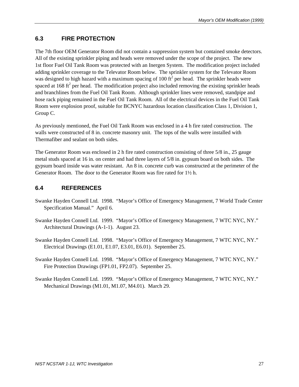## **6.3 FIRE PROTECTION**

The 7th floor OEM Generator Room did not contain a suppression system but contained smoke detectors. All of the existing sprinkler piping and heads were removed under the scope of the project. The new 1st floor Fuel Oil Tank Room was protected with an Inergen System. The modification project included adding sprinkler coverage to the Televator Room below. The sprinkler system for the Televator Room was designed to high hazard with a maximum spacing of 100 ft<sup>2</sup> per head. The sprinkler heads were spaced at 168 ft<sup>2</sup> per head. The modification project also included removing the existing sprinkler heads and branchlines from the Fuel Oil Tank Room. Although sprinkler lines were removed, standpipe and hose rack piping remained in the Fuel Oil Tank Room. All of the electrical devices in the Fuel Oil Tank Room were explosion proof, suitable for BCNYC hazardous location classification Class 1, Division 1, Group C.

As previously mentioned, the Fuel Oil Tank Room was enclosed in a 4 h fire rated construction. The walls were constructed of 8 in. concrete masonry unit. The tops of the walls were installed with Thermafiber and sealant on both sides.

The Generator Room was enclosed in 2 h fire rated construction consisting of three 5/8 in., 25 gauge metal studs spaced at 16 in. on center and had three layers of 5/8 in. gypsum board on both sides. The gypsum board inside was water resistant. An 8 in. concrete curb was constructed at the perimeter of the Generator Room. The door to the Generator Room was fire rated for 1½ h.

### **6.4 REFERENCES**

- Swanke Hayden Connell Ltd. 1998. "Mayor's Office of Emergency Management, 7 World Trade Center Specification Manual." April 6.
- Swanke Hayden Connell Ltd. 1999. "Mayor's Office of Emergency Management, 7 WTC NYC, NY." Architectural Drawings (A-1-1). August 23.
- Swanke Hayden Connell Ltd. 1998. "Mayor's Office of Emergency Management, 7 WTC NYC, NY." Electrical Drawings (E1.01, E1.07, E3.01, E6.01). September 25.
- Swanke Hayden Connell Ltd. 1998. "Mayor's Office of Emergency Management, 7 WTC NYC, NY." Fire Protection Drawings (FP1.01, FP2.07). September 25.
- Swanke Hayden Connell Ltd. 1999. "Mayor's Office of Emergency Management, 7 WTC NYC, NY." Mechanical Drawings (M1.01, M1.07, M4.01). March 29.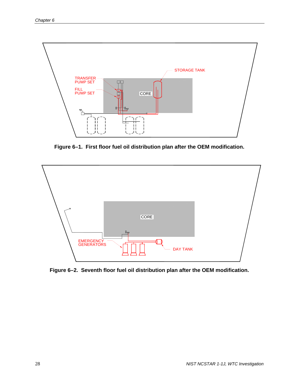

**Figure 6–1. First floor fuel oil distribution plan after the OEM modification.** 



**Figure 6–2. Seventh floor fuel oil distribution plan after the OEM modification.**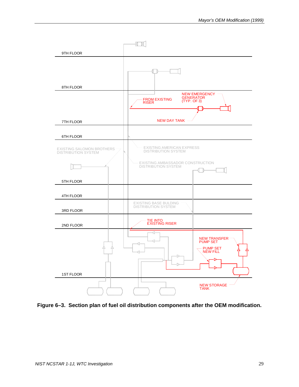

**Figure 6–3. Section plan of fuel oil distribution components after the OEM modification.**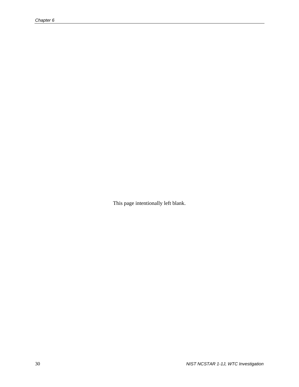This page intentionally left blank.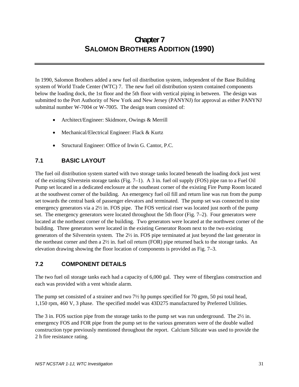# **Chapter 7 SALOMON BROTHERS ADDITION (1990)**

In 1990, Salomon Brothers added a new fuel oil distribution system, independent of the Base Building system of World Trade Center (WTC) 7. The new fuel oil distribution system contained components below the loading dock, the 1st floor and the 5th floor with vertical piping in between. The design was submitted to the Port Authority of New York and New Jersey (PANYNJ) for approval as either PANYNJ submittal number W-7004 or W-7005. The design team consisted of:

- Architect/Engineer: Skidmore, Owings & Merrill
- Mechanical/Electrical Engineer: Flack & Kurtz
- Structural Engineer: Office of Irwin G. Cantor, P.C.

### **7.1 BASIC LAYOUT**

The fuel oil distribution system started with two storage tanks located beneath the loading dock just west of the existing Silverstein storage tanks (Fig.  $7-1$ ). A 3 in. fuel oil supply (FOS) pipe ran to a Fuel Oil Pump set located in a dedicated enclosure at the southeast corner of the existing Fire Pump Room located at the southwest corner of the building. An emergency fuel oil fill and return line was run from the pump set towards the central bank of passenger elevators and terminated. The pump set was connected to nine emergency generators via a 2½ in. FOS pipe. The FOS vertical riser was located just north of the pump set. The emergency generators were located throughout the 5th floor (Fig. 7–2). Four generators were located at the northeast corner of the building. Two generators were located at the northwest corner of the building. Three generators were located in the existing Generator Room next to the two existing generators of the Silverstein system. The 2½ in. FOS pipe terminated at just beyond the last generator in the northeast corner and then a 2½ in. fuel oil return (FOR) pipe returned back to the storage tanks. An elevation drawing showing the floor location of components is provided as Fig. 7–3.

### **7.2 COMPONENT DETAILS**

The two fuel oil storage tanks each had a capacity of 6,000 gal. They were of fiberglass construction and each was provided with a vent whistle alarm.

The pump set consisted of a strainer and two 7½ hp pumps specified for 70 gpm, 50 psi total head, 1,150 rpm, 460 V, 3 phase. The specified model was 43D275 manufactured by Preferred Utilities.

The 3 in. FOS suction pipe from the storage tanks to the pump set was run underground. The 2½ in. emergency FOS and FOR pipe from the pump set to the various generators were of the double walled construction type previously mentioned throughout the report. Calcium Silicate was used to provide the 2 h fire resistance rating.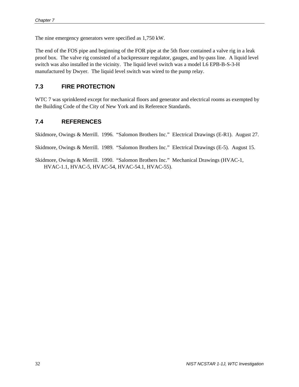The nine emergency generators were specified as 1,750 kW.

The end of the FOS pipe and beginning of the FOR pipe at the 5th floor contained a valve rig in a leak proof box. The valve rig consisted of a backpressure regulator, gauges, and by-pass line. A liquid level switch was also installed in the vicinity. The liquid level switch was a model L6 EPB-B-S-3-H manufactured by Dwyer. The liquid level switch was wired to the pump relay.

#### **7.3 FIRE PROTECTION**

WTC 7 was sprinklered except for mechanical floors and generator and electrical rooms as exempted by the Building Code of the City of New York and its Reference Standards.

### **7.4 REFERENCES**

Skidmore, Owings & Merrill. 1996. "Salomon Brothers Inc." Electrical Drawings (E-R1). August 27.

Skidmore, Owings & Merrill. 1989. "Salomon Brothers Inc." Electrical Drawings (E-5). August 15.

Skidmore, Owings & Merrill. 1990. "Salomon Brothers Inc." Mechanical Drawings (HVAC-1, HVAC-1.1, HVAC-5, HVAC-54, HVAC-54.1, HVAC-55).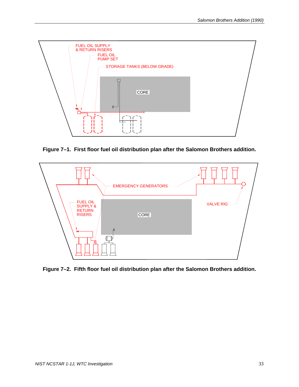

**Figure 7–1. First floor fuel oil distribution plan after the Salomon Brothers addition.** 



**Figure 7–2. Fifth floor fuel oil distribution plan after the Salomon Brothers addition.**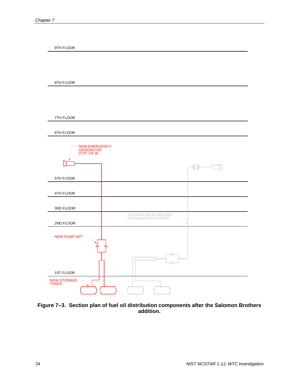9TH FLOOR 8TH FLOOR 7TH FLOOR 6TH FLOOR NEW EMERGENCY GENERATOR (TYP. OF 9) Œ 5TH FLOOR 4TH FLOOR 3RD FLOOR EXISTING BASE BULDING DISTRIBUTION SYSTEM 2ND FLOOR NEW PUMP SET 1ST FLOOR NEW STORAGE TANKS

**Figure 7–3. Section plan of fuel oil distribution components after the Salomon Brothers addition.**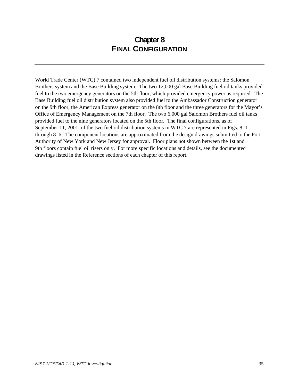## **Chapter 8 FINAL CONFIGURATION**

World Trade Center (WTC) 7 contained two independent fuel oil distribution systems: the Salomon Brothers system and the Base Building system. The two 12,000 gal Base Building fuel oil tanks provided fuel to the two emergency generators on the 5th floor, which provided emergency power as required. The Base Building fuel oil distribution system also provided fuel to the Ambassador Construction generator on the 9th floor, the American Express generator on the 8th floor and the three generators for the Mayor's Office of Emergency Management on the 7th floor. The two 6,000 gal Salomon Brothers fuel oil tanks provided fuel to the nine generators located on the 5th floor. The final configurations, as of September 11, 2001, of the two fuel oil distribution systems in WTC 7 are represented in Figs. 8–1 through 8–6. The component locations are approximated from the design drawings submitted to the Port Authority of New York and New Jersey for approval. Floor plans not shown between the 1st and 9th floors contain fuel oil risers only. For more specific locations and details, see the documented drawings listed in the Reference sections of each chapter of this report.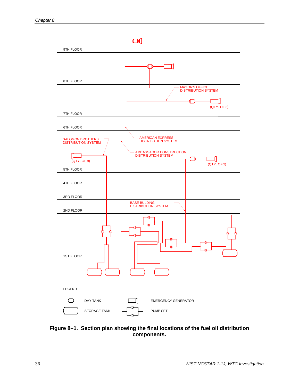

#### **Figure 8–1. Section plan showing the final locations of the fuel oil distribution components.**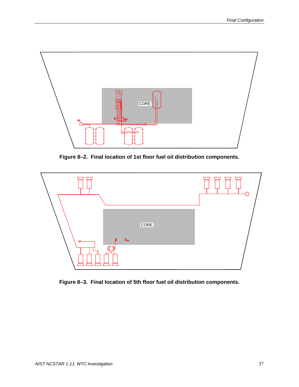

**Figure 8–2. Final location of 1st floor fuel oil distribution components.** 



**Figure 8–3. Final location of 5th floor fuel oil distribution components.**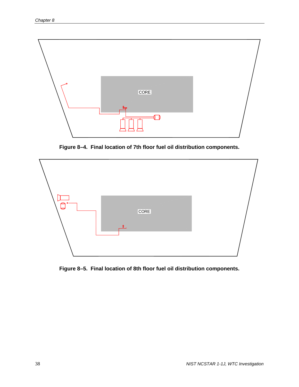

**Figure 8–4. Final location of 7th floor fuel oil distribution components.** 



**Figure 8–5. Final location of 8th floor fuel oil distribution components.**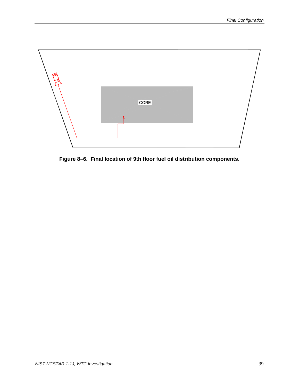

**Figure 8–6. Final location of 9th floor fuel oil distribution components.**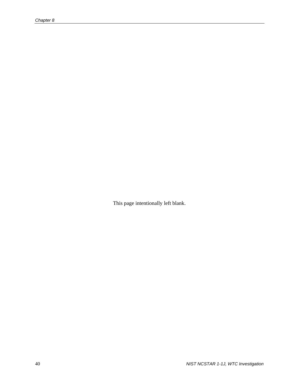This page intentionally left blank.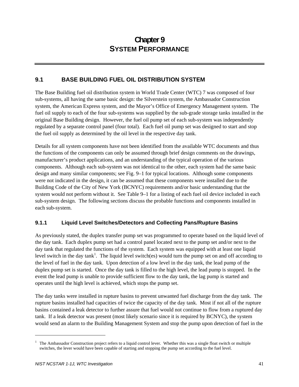# **Chapter 9 SYSTEM PERFORMANCE**

### **9.1 BASE BUILDING FUEL OIL DISTRIBUTION SYSTEM**

The Base Building fuel oil distribution system in World Trade Center (WTC) 7 was composed of four sub-systems, all having the same basic design: the Silverstein system, the Ambassador Construction system, the American Express system, and the Mayor's Office of Emergency Management system. The fuel oil supply to each of the four sub-systems was supplied by the sub-grade storage tanks installed in the original Base Building design. However, the fuel oil pump set of each sub-system was independently regulated by a separate control panel (four total). Each fuel oil pump set was designed to start and stop the fuel oil supply as determined by the oil level in the respective day tank.

Details for all system components have not been identified from the available WTC documents and thus the functions of the components can only be assumed through brief design comments on the drawings, manufacturer's product applications, and an understanding of the typical operation of the various components. Although each sub-system was not identical to the other, each system had the same basic design and many similar components; see Fig. 9–1 for typical locations. Although some components were not indicated in the design, it can be assumed that these components were installed due to the Building Code of the City of New York (BCNYC) requirements and/or basic understanding that the system would not perform without it. See Table 9–1 for a listing of each fuel oil device included in each sub-system design. The following sections discuss the probable functions and components installed in each sub-system.

#### **9.1.1 Liquid Level Switches/Detectors and Collecting Pans/Rupture Basins**

As previously stated, the duplex transfer pump set was programmed to operate based on the liquid level of the day tank. Each duplex pump set had a control panel located next to the pump set and/or next to the day tank that regulated the functions of the system. Each system was equipped with at least one liquid level switch in the day tank<sup>1</sup>. The liquid level switch(es) would turn the pump set on and off according to the level of fuel in the day tank. Upon detection of a low level in the day tank, the lead pump of the duplex pump set is started. Once the day tank is filled to the high level, the lead pump is stopped. In the event the lead pump is unable to provide sufficient flow to the day tank, the lag pump is started and operates until the high level is achieved, which stops the pump set.

The day tanks were installed in rupture basins to prevent unwanted fuel discharge from the day tank. The rupture basins installed had capacities of twice the capacity of the day tank. Most if not all of the rupture basins contained a leak detector to further assure that fuel would not continue to flow from a ruptured day tank. If a leak detector was present (most likely scenario since it is required by BCNYC), the system would send an alarm to the Building Management System and stop the pump upon detection of fuel in the

1

 $1$  The Ambassador Construction project refers to a liquid control lever. Whether this was a single float switch or multiple switches, the lever would have been capable of starting and stopping the pump set according to the fuel level.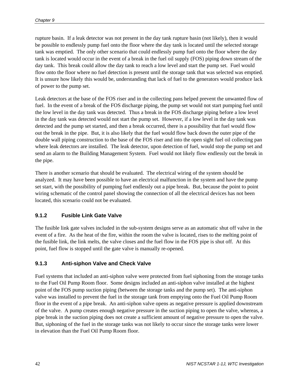rupture basin. If a leak detector was not present in the day tank rupture basin (not likely), then it would be possible to endlessly pump fuel onto the floor where the day tank is located until the selected storage tank was emptied. The only other scenario that could endlessly pump fuel onto the floor where the day tank is located would occur in the event of a break in the fuel oil supply (FOS) piping down stream of the day tank. This break could allow the day tank to reach a low level and start the pump set. Fuel would flow onto the floor where no fuel detection is present until the storage tank that was selected was emptied. It is unsure how likely this would be, understanding that lack of fuel to the generators would produce lack of power to the pump set.

Leak detectors at the base of the FOS riser and in the collecting pans helped prevent the unwanted flow of fuel. In the event of a break of the FOS discharge piping, the pump set would not start pumping fuel until the low level in the day tank was detected. Thus a break in the FOS discharge piping before a low level in the day tank was detected would not start the pump set. However, if a low level in the day tank was detected and the pump set started, and then a break occurred, there is a possibility that fuel would flow out the break in the pipe. But, it is also likely that the fuel would flow back down the outer pipe of the double wall piping construction to the base of the FOS riser and into the open sight fuel oil collecting pan where leak detectors are installed. The leak detector, upon detection of fuel, would stop the pump set and send an alarm to the Building Management System. Fuel would not likely flow endlessly out the break in the pipe.

There is another scenario that should be evaluated. The electrical wiring of the system should be analyzed. It may have been possible to have an electrical malfunction in the system and have the pump set start, with the possibility of pumping fuel endlessly out a pipe break. But, because the point to point wiring schematic of the control panel showing the connection of all the electrical devices has not been located, this scenario could not be evaluated.

#### **9.1.2 Fusible Link Gate Valve**

The fusible link gate valves included in the sub-system designs serve as an automatic shut off valve in the event of a fire. As the heat of the fire, within the room the valve is located, rises to the melting point of the fusible link, the link melts, the valve closes and the fuel flow in the FOS pipe is shut off. At this point, fuel flow is stopped until the gate valve is manually re-opened.

#### **9.1.3 Anti-siphon Valve and Check Valve**

Fuel systems that included an anti-siphon valve were protected from fuel siphoning from the storage tanks to the Fuel Oil Pump Room floor. Some designs included an anti-siphon valve installed at the highest point of the FOS pump suction piping (between the storage tanks and the pump set). The anti-siphon valve was installed to prevent the fuel in the storage tank from emptying onto the Fuel Oil Pump Room floor in the event of a pipe break. An anti-siphon valve opens as negative pressure is applied downstream of the valve. A pump creates enough negative pressure in the suction piping to open the valve, whereas, a pipe break in the suction piping does not create a sufficient amount of negative pressure to open the valve. But, siphoning of the fuel in the storage tanks was not likely to occur since the storage tanks were lower in elevation than the Fuel Oil Pump Room floor.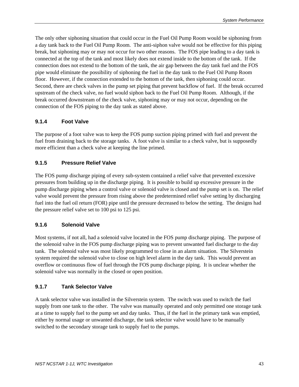The only other siphoning situation that could occur in the Fuel Oil Pump Room would be siphoning from a day tank back to the Fuel Oil Pump Room. The anti-siphon valve would not be effective for this piping break, but siphoning may or may not occur for two other reasons. The FOS pipe leading to a day tank is connected at the top of the tank and most likely does not extend inside to the bottom of the tank. If the connection does not extend to the bottom of the tank, the air gap between the day tank fuel and the FOS pipe would eliminate the possibility of siphoning the fuel in the day tank to the Fuel Oil Pump Room floor. However, if the connection extended to the bottom of the tank, then siphoning could occur. Second, there are check valves in the pump set piping that prevent backflow of fuel. If the break occurred upstream of the check valve, no fuel would siphon back to the Fuel Oil Pump Room. Although, if the break occurred downstream of the check valve, siphoning may or may not occur, depending on the connection of the FOS piping to the day tank as stated above.

### **9.1.4 Foot Valve**

The purpose of a foot valve was to keep the FOS pump suction piping primed with fuel and prevent the fuel from draining back to the storage tanks. A foot valve is similar to a check valve, but is supposedly more efficient than a check valve at keeping the line primed.

### **9.1.5 Pressure Relief Valve**

The FOS pump discharge piping of every sub-system contained a relief valve that prevented excessive pressures from building up in the discharge piping. It is possible to build up excessive pressure in the pump discharge piping when a control valve or solenoid valve is closed and the pump set is on. The relief valve would prevent the pressure from rising above the predetermined relief valve setting by discharging fuel into the fuel oil return (FOR) pipe until the pressure decreased to below the setting. The designs had the pressure relief valve set to 100 psi to 125 psi.

#### **9.1.6 Solenoid Valve**

Most systems, if not all, had a solenoid valve located in the FOS pump discharge piping. The purpose of the solenoid valve in the FOS pump discharge piping was to prevent unwanted fuel discharge to the day tank. The solenoid valve was most likely programmed to close in an alarm situation. The Silverstein system required the solenoid valve to close on high level alarm in the day tank. This would prevent an overflow or continuous flow of fuel through the FOS pump discharge piping. It is unclear whether the solenoid valve was normally in the closed or open position.

## **9.1.7 Tank Selector Valve**

A tank selector valve was installed in the Silverstein system. The switch was used to switch the fuel supply from one tank to the other. The valve was manually operated and only permitted one storage tank at a time to supply fuel to the pump set and day tanks. Thus, if the fuel in the primary tank was emptied, either by normal usage or unwanted discharge, the tank selector valve would have to be manually switched to the secondary storage tank to supply fuel to the pumps.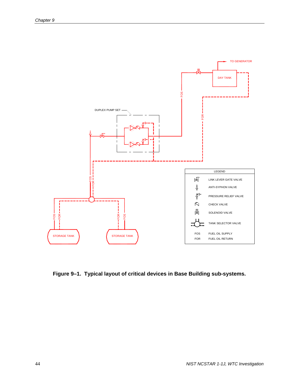

**Figure 9–1. Typical layout of critical devices in Base Building sub-systems.**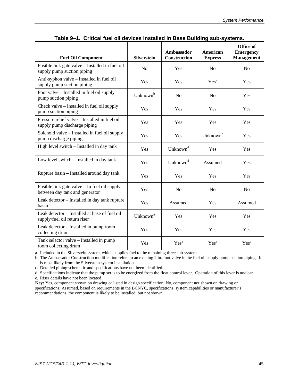| <b>Fuel Oil Component</b>                                                      | <b>Silverstein</b>   | Ambassador<br><b>Construction</b> | American<br><b>Express</b> | Office of<br><b>Emergency</b><br><b>Management</b> |
|--------------------------------------------------------------------------------|----------------------|-----------------------------------|----------------------------|----------------------------------------------------|
| Fusible link gate valve - Installed in fuel oil<br>supply pump suction piping  | No                   | Yes                               | No                         | No                                                 |
| Anti-syphon valve - Installed in fuel oil<br>supply pump suction piping        | Yes                  | Yes                               | Yes <sup>a</sup>           | Yes                                                |
| Foot valve – Installed in fuel oil supply<br>pump suction piping               | Unknown <sup>b</sup> | No                                | N <sub>0</sub>             | Yes                                                |
| Check valve – Installed in fuel oil supply<br>pump suction piping              | Yes                  | Yes                               | Yes                        | Yes                                                |
| Pressure relief valve – Installed in fuel oil<br>supply pump discharge piping  | Yes                  | Yes                               | Yes                        | Yes                                                |
| Solenoid valve – Installed in fuel oil supply<br>pump discharge piping         | Yes                  | Yes                               | Unknown <sup>c</sup>       | Yes                                                |
| High level switch – Installed in day tank                                      | Yes                  | Unknown <sup>d</sup>              | Yes                        | Yes                                                |
| Low level switch – Installed in day tank                                       | Yes                  | Unknown <sup>d</sup>              | Assumed                    | Yes                                                |
| Rupture basin – Installed around day tank                                      | Yes                  | Yes                               | Yes                        | Yes                                                |
| Fusible link gate valve – In fuel oil supply<br>between day tank and generator | Yes                  | N <sub>o</sub>                    | N <sub>o</sub>             | N <sub>o</sub>                                     |
| Leak detector – Installed in day tank rupture<br>basin                         | Yes                  | Assumed                           | Yes                        | Assumed                                            |
| Leak detector - Installed at base of fuel oil<br>supply/fuel oil return riser  | Unknown <sup>e</sup> | Yes                               | Yes                        | Yes                                                |
| Leak detector - Installed in pump room<br>collecting drum                      | Yes                  | Yes                               | Yes                        | Yes                                                |
| Tank selector valve - Installed in pump<br>room collecting drum                | Yes                  | Yes <sup>a</sup>                  | Yes <sup>a</sup>           | Yes <sup>a</sup>                                   |

**Table 9–1. Critical fuel oil devices installed in Base Building sub-systems.** 

a. Included in the Silverstein system, which supplies fuel to the remaining three sub-systems.

b. The Ambassador Construction modification refers to an existing 2 in. foot valve in the fuel oil supply pump suction piping. It is most likely from the Silverstein system installation.

c. Detailed piping schematic and specifications have not been identified.

d. Specifications indicate that the pump set is to be energized from the float control lever. Operation of this lever is unclear.

e. Riser details have not been located.

**Key:** Yes, component shown on drawing or listed in design specification; No, component not shown on drawing or specifications; Assumed, based on requirements in the BCNYC, specifications, system capabilities or manufacturer's recommendations, the component is likely to be installed, but not shown*.*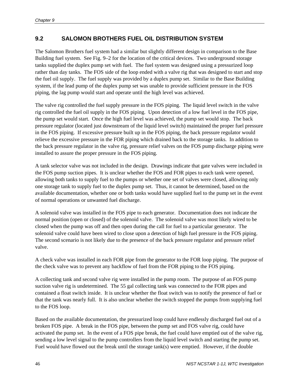## **9.2 SALOMON BROTHERS FUEL OIL DISTRIBUTION SYSTEM**

The Salomon Brothers fuel system had a similar but slightly different design in comparison to the Base Building fuel system. See Fig. 9–2 for the location of the critical devices. Two underground storage tanks supplied the duplex pump set with fuel. The fuel system was designed using a pressurized loop rather than day tanks. The FOS side of the loop ended with a valve rig that was designed to start and stop the fuel oil supply. The fuel supply was provided by a duplex pump set. Similar to the Base Building system, if the lead pump of the duplex pump set was unable to provide sufficient pressure in the FOS piping, the lag pump would start and operate until the high level was achieved.

The valve rig controlled the fuel supply pressure in the FOS piping. The liquid level switch in the valve rig controlled the fuel oil supply in the FOS piping. Upon detection of a low fuel level in the FOS pipe, the pump set would start. Once the high fuel level was achieved, the pump set would stop. The back pressure regulator (located just downstream of the liquid level switch) maintained the proper fuel pressure in the FOS piping. If excessive pressure built up in the FOS piping, the back pressure regulator would relieve the excessive pressure in the FOR piping which drained back to the storage tanks. In addition to the back pressure regulator in the valve rig, pressure relief valves on the FOS pump discharge piping were installed to assure the proper pressure in the FOS piping.

A tank selector valve was not included in the design. Drawings indicate that gate valves were included in the FOS pump suction pipes. It is unclear whether the FOS and FOR pipes to each tank were opened, allowing both tanks to supply fuel to the pumps or whether one set of valves were closed, allowing only one storage tank to supply fuel to the duplex pump set. Thus, it cannot be determined, based on the available documentation, whether one or both tanks would have supplied fuel to the pump set in the event of normal operations or unwanted fuel discharge.

A solenoid valve was installed in the FOS pipe to each generator. Documentation does not indicate the normal position (open or closed) of the solenoid valve. The solenoid valve was most likely wired to be closed when the pump was off and then open during the call for fuel to a particular generator. The solenoid valve could have been wired to close upon a detection of high fuel pressure in the FOS piping. The second scenario is not likely due to the presence of the back pressure regulator and pressure relief valve.

A check valve was installed in each FOR pipe from the generator to the FOR loop piping. The purpose of the check valve was to prevent any backflow of fuel from the FOR piping to the FOS piping.

A collecting tank and second valve rig were installed in the pump room. The purpose of an FOS pump suction valve rig is undetermined. The 55 gal collecting tank was connected to the FOR pipes and contained a float switch inside. It is unclear whether the float switch was to notify the presence of fuel or that the tank was nearly full. It is also unclear whether the switch stopped the pumps from supplying fuel to the FOS loop.

Based on the available documentation, the pressurized loop could have endlessly discharged fuel out of a broken FOS pipe. A break in the FOS pipe, between the pump set and FOS valve rig, could have activated the pump set. In the event of a FOS pipe break, the fuel could have emptied out of the valve rig, sending a low level signal to the pump controllers from the liquid level switch and starting the pump set. Fuel would have flowed out the break until the storage tank(s) were emptied. However, if the double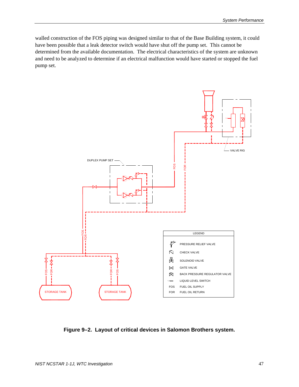walled construction of the FOS piping was designed similar to that of the Base Building system, it could have been possible that a leak detector switch would have shut off the pump set. This cannot be determined from the available documentation. The electrical characteristics of the system are unknown and need to be analyzed to determine if an electrical malfunction would have started or stopped the fuel pump set.

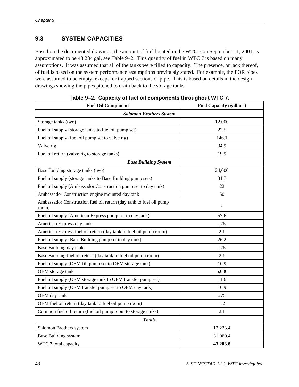## **9.3 SYSTEM CAPACITIES**

Based on the documented drawings, the amount of fuel located in the WTC 7 on September 11, 2001, is approximated to be 43,284 gal, see Table 9–2. This quantity of fuel in WTC 7 is based on many assumptions. It was assumed that all of the tanks were filled to capacity. The presence, or lack thereof, of fuel is based on the system performance assumptions previously stated. For example, the FOR pipes were assumed to be empty, except for trapped sections of pipe. This is based on details in the design drawings showing the pipes pitched to drain back to the storage tanks.

| <b>Fuel Oil Component</b>                                                   | <b>Fuel Capacity (gallons)</b> |  |  |  |  |
|-----------------------------------------------------------------------------|--------------------------------|--|--|--|--|
| <b>Salomon Brothers System</b>                                              |                                |  |  |  |  |
| Storage tanks (two)                                                         | 12,000                         |  |  |  |  |
| Fuel oil supply (storage tanks to fuel oil pump set)                        | 22.5                           |  |  |  |  |
| Fuel oil supply (fuel oil pump set to valve rig)                            | 146.1                          |  |  |  |  |
| Valve rig                                                                   | 34.9                           |  |  |  |  |
| Fuel oil return (valve rig to storage tanks)                                | 19.9                           |  |  |  |  |
| <b>Base Building System</b>                                                 |                                |  |  |  |  |
| Base Building storage tanks (two)                                           | 24,000                         |  |  |  |  |
| Fuel oil supply (storage tanks to Base Building pump sets)                  | 31.7                           |  |  |  |  |
| Fuel oil supply (Ambassador Construction pump set to day tank)              | 22                             |  |  |  |  |
| Ambassador Construction engine mounted day tank                             | 50                             |  |  |  |  |
| Ambassador Construction fuel oil return (day tank to fuel oil pump<br>room) | 1                              |  |  |  |  |
| Fuel oil supply (American Express pump set to day tank)                     | 57.6                           |  |  |  |  |
| American Express day tank                                                   | 275                            |  |  |  |  |
| American Express fuel oil return (day tank to fuel oil pump room)           | 2.1                            |  |  |  |  |
| Fuel oil supply (Base Building pump set to day tank)                        | 26.2                           |  |  |  |  |
| Base Building day tank                                                      | 275                            |  |  |  |  |
| Base Building fuel oil return (day tank to fuel oil pump room)              | 2.1                            |  |  |  |  |
| Fuel oil supply (OEM fill pump set to OEM storage tank)                     | 10.9                           |  |  |  |  |
| OEM storage tank                                                            | 6,000                          |  |  |  |  |
| Fuel oil supply (OEM storage tank to OEM transfer pump set)                 | 11.6                           |  |  |  |  |
| Fuel oil supply (OEM transfer pump set to OEM day tank)                     | 16.9                           |  |  |  |  |
| OEM day tank                                                                | 275                            |  |  |  |  |
| OEM fuel oil return (day tank to fuel oil pump room)                        | 1.2                            |  |  |  |  |
| Common fuel oil return (fuel oil pump room to storage tanks)                | 2.1                            |  |  |  |  |
| <b>Totals</b>                                                               |                                |  |  |  |  |
| Salomon Brothers system                                                     | 12,223.4                       |  |  |  |  |
| <b>Base Building system</b>                                                 | 31,060.4                       |  |  |  |  |
| WTC 7 total capacity                                                        | 43,283.8                       |  |  |  |  |

**Table 9–2. Capacity of fuel oil components throughout WTC 7.**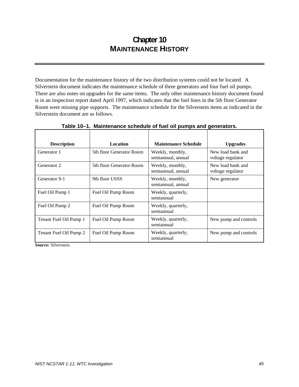## **Chapter 10 MAINTENANCE HISTORY**

Documentation for the maintenance history of the two distribution systems could not be located. A Silverstein document indicates the maintenance schedule of three generators and four fuel oil pumps. There are also notes on upgrades for the same items. The only other maintenance history document found is in an inspection report dated April 1997, which indicates that the fuel lines in the 5th floor Generator Room were missing pipe supports. The maintenance schedule for the Silverstein items as indicated in the Silverstein document are as follows.

| <b>Description</b>     | <b>Location</b>          | <b>Maintenance Schedule</b>            | <b>Upgrades</b>                        |
|------------------------|--------------------------|----------------------------------------|----------------------------------------|
| Generator 1            | 5th floor Generator Room | Weekly, monthly,<br>semiannual, annual | New load bank and<br>voltage regulator |
| Generator 2            | 5th floor Generator Room | Weekly, monthly,<br>semiannual, annual | New load bank and<br>voltage regulator |
| Generator 9-1          | 9th floor USSS           | Weekly, monthly,<br>semiannual, annual | New generator                          |
| Fuel Oil Pump 1        | Fuel Oil Pump Room       | Weekly, quarterly,<br>semiannual       |                                        |
| Fuel Oil Pump 2        | Fuel Oil Pump Room       | Weekly, quarterly,<br>semiannual       |                                        |
| Tenant Fuel Oil Pump 1 | Fuel Oil Pump Room       | Weekly, quarterly,<br>semiannual       | New pump and controls                  |
| Tenant Fuel Oil Pump 2 | Fuel Oil Pump Room       | Weekly, quarterly,<br>semiannual       | New pump and controls                  |

**Table 10–1. Maintenance schedule of fuel oil pumps and generators.** 

**Source:** Silverstein.

г